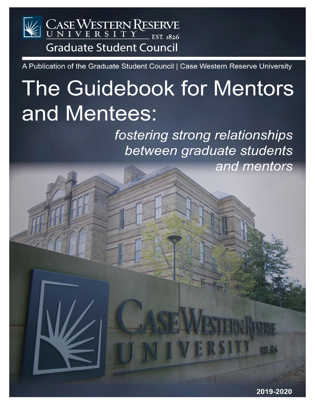# CASEWESTERN RESERVE **Graduate Student Council**

A Publication of the Graduate Student Council | Case Western Reserve University

# The Guidebook for Mentors and Mentees:

fostering strong relationships between graduate students and mentors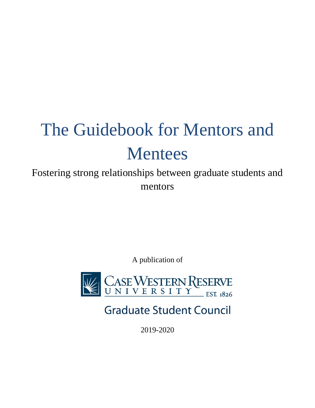# The Guidebook for Mentors and Mentees

Fostering strong relationships between graduate students and mentors

A publication of



**Graduate Student Council** 

2019-2020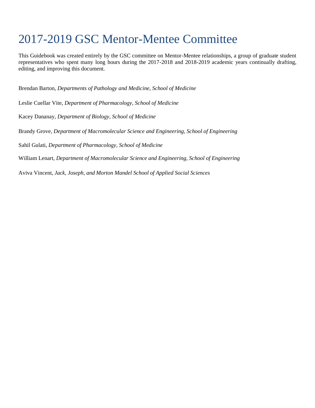## 2017-2019 GSC Mentor-Mentee Committee

This Guidebook was created entirely by the GSC committee on Mentor-Mentee relationships, a group of graduate student representatives who spent many long hours during the 2017-2018 and 2018-2019 academic years continually drafting, editing, and improving this document.

Brendan Barton, *Departments of Pathology and Medicine, School of Medicine*

Leslie Cuellar Vite, *Department of Pharmacology, School of Medicine*

Kacey Dananay, *Department of Biology, School of Medicine*

Brandy Grove, *Department of Macromolecular Science and Engineering, School of Engineering*

Sahil Gulati, *Department of Pharmacology, School of Medicine*

William Lenart, *Department of Macromolecular Science and Engineering, School of Engineering*

Aviva Vincent, *Jack, Joseph, and Morton Mandel School of Applied Social Sciences*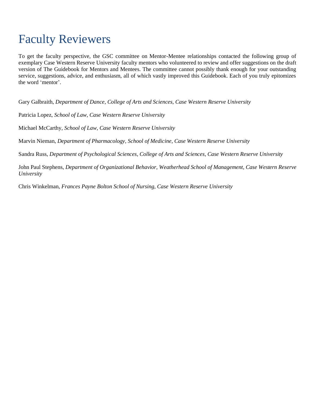## Faculty Reviewers

To get the faculty perspective, the GSC committee on Mentor-Mentee relationships contacted the following group of exemplary Case Western Reserve University faculty mentors who volunteered to review and offer suggestions on the draft version of The Guidebook for Mentors and Mentees. The committee cannot possibly thank enough for your outstanding service, suggestions, advice, and enthusiasm, all of which vastly improved this Guidebook. Each of you truly epitomizes the word 'mentor'.

Gary Galbraith, *Department of Dance, College of Arts and Sciences, Case Western Reserve University*

Patricia Lopez, *School of Law, Case Western Reserve University*

Michael McCarthy, *School of Law, Case Western Reserve University*

Marvin Nieman, *Department of Pharmacology, School of Medicine, Case Western Reserve University*

Sandra Russ, *Department of Psychological Sciences, College of Arts and Sciences, Case Western Reserve University*

John Paul Stephens, *Department of Organizational Behavior, Weatherhead School of Management, Case Western Reserve University*

Chris Winkelman, *Frances Payne Bolton School of Nursing, Case Western Reserve University*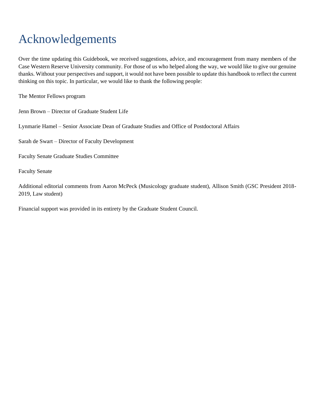# Acknowledgements

Over the time updating this Guidebook, we received suggestions, advice, and encouragement from many members of the Case Western Reserve University community. For those of us who helped along the way, we would like to give our genuine thanks. Without your perspectives and support, it would not have been possible to update this handbook to reflect the current thinking on this topic. In particular, we would like to thank the following people:

The Mentor Fellows program

Jenn Brown – Director of Graduate Student Life

Lynmarie Hamel – Senior Associate Dean of Graduate Studies and Office of Postdoctoral Affairs

Sarah de Swart – Director of Faculty Development

Faculty Senate Graduate Studies Committee

Faculty Senate

Additional editorial comments from Aaron McPeck (Musicology graduate student), Allison Smith (GSC President 2018- 2019, Law student)

Financial support was provided in its entirety by the Graduate Student Council.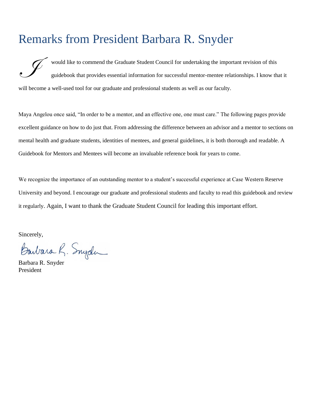### Remarks from President Barbara R. Snyder

 would like to commend the Graduate Student Council for undertaking the important revision of this guidebook that provides essential information for successful mentor-mentee relationships. I know that it will become a well-used tool for our graduate and professional students as well as our faculty. I

Maya Angelou once said, "In order to be a mentor, and an effective one, one must care." The following pages provide excellent guidance on how to do just that. From addressing the difference between an advisor and a mentor to sections on mental health and graduate students, identities of mentees, and general guidelines, it is both thorough and readable. A Guidebook for Mentors and Mentees will become an invaluable reference book for years to come.

We recognize the importance of an outstanding mentor to a student's successful experience at Case Western Reserve University and beyond. I encourage our graduate and professional students and faculty to read this guidebook and review it regularly. Again, I want to thank the Graduate Student Council for leading this important effort.

Sincerely,

Barbara R. Snyder

President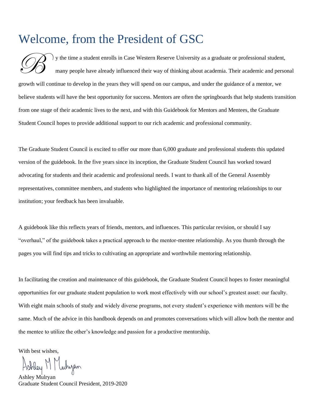### Welcome, from the President of GSC

 y the time a student enrolls in Case Western Reserve University as a graduate or professional student, many people have already influenced their way of thinking about academia. Their academic and personal growth will continue to develop in the years they will spend on our campus, and under the guidance of a mentor, we believe students will have the best opportunity for success. Mentors are often the springboards that help students transition from one stage of their academic lives to the next, and with this Guidebook for Mentors and Mentees, the Graduate Student Council hopes to provide additional support to our rich academic and professional community.  $\mathscr{B}$ 

The Graduate Student Council is excited to offer our more than 6,000 graduate and professional students this updated version of the guidebook. In the five years since its inception, the Graduate Student Council has worked toward advocating for students and their academic and professional needs. I want to thank all of the General Assembly representatives, committee members, and students who highlighted the importance of mentoring relationships to our institution; your feedback has been invaluable.

A guidebook like this reflects years of friends, mentors, and influences. This particular revision, or should I say "overhaul," of the guidebook takes a practical approach to the mentor-mentee relationship. As you thumb through the pages you will find tips and tricks to cultivating an appropriate and worthwhile mentoring relationship.

In facilitating the creation and maintenance of this guidebook, the Graduate Student Council hopes to foster meaningful opportunities for our graduate student population to work most effectively with our school's greatest asset: our faculty. With eight main schools of study and widely diverse programs, not every student's experience with mentors will be the same. Much of the advice in this handbook depends on and promotes conversations which will allow both the mentor and the mentee to utilize the other's knowledge and passion for a productive mentorship.

With best wishes,

Ashley M Muhizan

Ashley Mulryan Graduate Student Council President, 2019-2020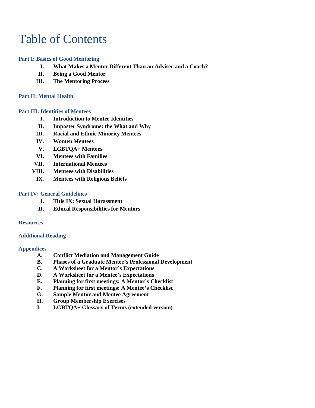## Table of Contents

### **Part I: Basics of Good Mentoring**

- **I. What Makes a Mentor Different Than an Adviser and a Coach?**
- **II. Being a Good Mentor**
- **III. The Mentoring Process**

### **Part II: Mental Health**

#### **Part III: Identities of Mentees**

- **I. Introduction to Mentee Identities**
- **II. Imposter Syndrome: the What and Why**
- **III. Racial and Ethnic Minority Mentees**
- **IV. Women Mentees**
- **V. LGBTQA+ Mentees**
- **VI. Mentees with Families**
- **VII. International Mentees**
- **VIII. Mentees with Disabilities** 
	- **IX. Mentees with Religious Beliefs**

#### **Part IV: General Guidelines**

- **I. Title IX: Sexual Harassment**
- **II. Ethical Responsibilities for Mentors**

#### **Resources**

#### **Additional Reading**

#### **Appendices**

- **A. Conflict Mediation and Management Guide**
- **B. Phases of a Graduate Mentee's Professional Development**
- **C. A Worksheet for a Mentor's Expectations**
- **D. A Worksheet for a Mentee's Expectations**
- **E. Planning for first meetings: A Mentor's Checklist**
- **F. Planning for first meetings: A Mentee's Checklist**
- **G. Sample Mentor and Mentee Agreement**
- **H. Group Membership Exercises**
- **I. LGBTQA+ Glossary of Terms (extended version)**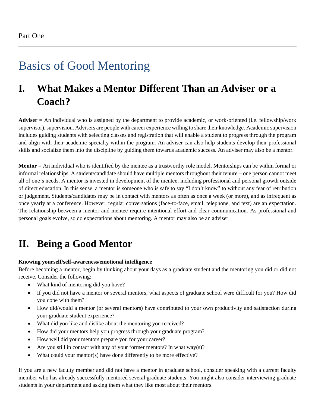# Basics of Good Mentoring

### **I. What Makes a Mentor Different Than an Adviser or a Coach?**

**Adviser** = An individual who is assigned by the department to provide academic, or work-oriented (i.e. fellowship/work supervisor), supervision. Advisers are people with career experience willing to share their knowledge. Academic supervision includes guiding students with selecting classes and registration that will enable a student to progress through the program and align with their academic specialty within the program. An adviser can also help students develop their professional skills and socialize them into the discipline by guiding them towards academic success. An adviser may also be a mentor.

**Mentor** = An individual who is identified by the mentee as a trustworthy role model. Mentorships can be within formal or informal relationships. A student/candidate should have multiple mentors throughout their tenure – one person cannot meet all of one's needs. A mentor is invested in development of the mentee, including professional and personal growth outside of direct education. In this sense, a mentor is someone who is safe to say "I don't know" to without any fear of retribution or judgement. Students/candidates may be in contact with mentors as often as once a week (or more), and as infrequent as once yearly at a conference. However, regular conversations (face-to-face, email, telephone, and text) are an expectation. The relationship between a mentor and mentee require intentional effort and clear communication. As professional and personal goals evolve, so do expectations about mentoring. A mentor may also be an adviser.

### **II. Being a Good Mentor**

### **Knowing yourself/self-awareness/emotional intelligence**

Before becoming a mentor, begin by thinking about your days as a graduate student and the mentoring you did or did not receive. Consider the following:

- What kind of mentoring did you have?
- If you did not have a mentor or several mentors, what aspects of graduate school were difficult for you? How did you cope with them?
- How did/would a mentor (or several mentors) have contributed to your own productivity and satisfaction during your graduate student experience?
- What did you like and dislike about the mentoring you received?
- How did your mentors help you progress through your graduate program?
- How well did your mentors prepare you for your career?
- Are you still in contact with any of your former mentors? In what way $(s)$ ?
- What could your mentor(s) have done differently to be more effective?

If you are a new faculty member and did not have a mentor in graduate school, consider speaking with a current faculty member who has already successfully mentored several graduate students. You might also consider interviewing graduate students in your department and asking them what they like most about their mentors.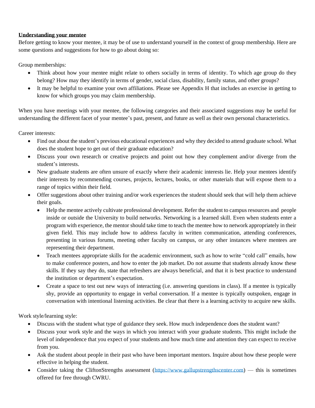### **Understanding your mentee**

Before getting to know your mentee, it may be of use to understand yourself in the context of group membership. Here are some questions and suggestions for how to go about doing so:

Group memberships:

- Think about how your mentee might relate to others socially in terms of identity. To which age group do they belong? How may they identify in terms of gender, social class, disability, family status, and other groups?
- It may be helpful to examine your own affiliations. Please see Appendix H that includes an exercise in getting to know for which groups you may claim membership.

When you have meetings with your mentee, the following categories and their associated suggestions may be useful for understanding the different facet of your mentee's past, present, and future as well as their own personal characteristics.

Career interests:

- Find out about the student's previous educational experiences and why they decided to attend graduate school. What does the student hope to get out of their graduate education?
- Discuss your own research or creative projects and point out how they complement and/or diverge from the student's interests.
- New graduate students are often unsure of exactly where their academic interests lie. Help your mentees identify their interests by recommending courses, projects, lectures, books, or other materials that will expose them to a range of topics within their field.
- Offer suggestions about other training and/or work experiences the student should seek that will help them achieve their goals.
	- Help the mentee actively cultivate professional development. Refer the student to campus resources and people inside or outside the University to build networks. Networking is a learned skill. Even when students enter a program with experience, the mentor should take time to teach the mentee how to network appropriately in their given field. This may include how to address faculty in written communication, attending conferences, presenting in various forums, meeting other faculty on campus, or any other instances where mentees are representing their department.
	- Teach mentees appropriate skills for the academic environment, such as how to write "cold call" emails, how to make conference posters, and how to enter the job market. Do not assume that students already know these skills. If they say they do, state that refreshers are always beneficial, and that it is best practice to understand the institution or department's expectation.
	- Create a space to test out new ways of interacting (i.e. answering questions in class). If a mentee is typically shy, provide an opportunity to engage in verbal conversation. If a mentee is typically outspoken, engage in conversation with intentional listening activities. Be clear that there is a learning activity to acquire new skills.

Work style/learning style:

- Discuss with the student what type of guidance they seek. How much independence does the student want?
- Discuss your work style and the ways in which you interact with your graduate students. This might include the level of independence that you expect of your students and how much time and attention they can expect to receive from you.
- Ask the student about people in their past who have been important mentors. Inquire about how these people were effective in helping the student.
- Consider taking the CliftonStrengths assessment [\(https://www.gallupstrengthscenter.com\)](https://www.gallupstrengthscenter.com/) this is sometimes offered for free through CWRU.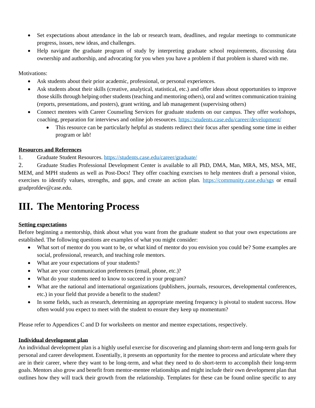- Set expectations about attendance in the lab or research team, deadlines, and regular meetings to communicate progress, issues, new ideas, and challenges.
- Help navigate the graduate program of study by interpreting graduate school requirements, discussing data ownership and authorship, and advocating for you when you have a problem if that problem is shared with me.

Motivations:

- Ask students about their prior academic, professional, or personal experiences.
- Ask students about their skills (creative, analytical, statistical, etc.) and offer ideas about opportunities to improve those skills through helping other students (teaching and mentoring others), oral and written communication training (reports, presentations, and posters), grant writing, and lab management (supervising others)
- Connect mentees with Career Counseling Services for graduate students on our campus. They offer workshops, coaching, preparation for interviews and online job resources.<https://students.case.edu/career/development/>
	- This resource can be particularly helpful as students redirect their focus after spending some time in either program or lab!

#### **Resources and References**

1. Graduate Student Resources.<https://students.case.edu/career/graduate/>

2. Graduate Studies Professional Development Center is available to all PhD, DMA, Man, MRA, MS, MSA, ME, MEM, and MPH students as well as Post-Docs! They offer coaching exercises to help mentees draft a personal vision, exercises to identify values, strengths, and gaps, and create an action plan. <https://community.case.edu/sgs> or email gradprofdev@case.edu.

### **III. The Mentoring Process**

### **Setting expectations**

Before beginning a mentorship, think about what you want from the graduate student so that your own expectations are established. The following questions are examples of what you might consider:

- What sort of mentor do you want to be, or what kind of mentor do you envision you could be? Some examples are social, professional, research, and teaching role mentors.
- What are your expectations of your students?
- What are your communication preferences (email, phone, etc.)?
- What do your students need to know to succeed in your program?
- What are the national and international organizations (publishers, journals, resources, developmental conferences, etc.) in your field that provide a benefit to the student?
- In some fields, such as research, determining an appropriate meeting frequency is pivotal to student success. How often would you expect to meet with the student to ensure they keep up momentum?

Please refer to Appendices C and D for worksheets on mentor and mentee expectations, respectively.

#### **Individual development plan**

An individual development plan is a highly useful exercise for discovering and planning short-term and long-term goals for personal and career development. Essentially, it presents an opportunity for the mentee to process and articulate where they are in their career, where they want to be long-term, and what they need to do short-term to accomplish their long-term goals. Mentors also grow and benefit from mentor-mentee relationships and might include their own development plan that outlines how they will track their growth from the relationship. Templates for these can be found online specific to any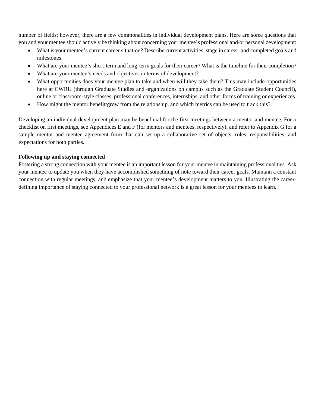number of fields; however, there are a few commonalities in individual development plans. Here are some questions that you and your mentee should actively be thinking about concerning your mentee's professional and/or personal development:

- What is your mentee's current career situation? Describe current activities, stage in career, and completed goals and milestones.
- What are your mentee's short-term and long-term goals for their career? What is the timeline for their completion?
- What are your mentee's needs and objectives in terms of development?
- What opportunities does your mentee plan to take and when will they take them? This may include opportunities here at CWRU (through Graduate Studies and organizations on campus such as the Graduate Student Council), online or classroom-style classes, professional conferences, internships, and other forms of training or experiences.
- How might the mentor benefit/grow from the relationship, and which metrics can be used to track this?

Developing an individual development plan may be beneficial for the first meetings between a mentor and mentee. For a checklist on first meetings, see Appendices E and F (for mentors and mentees, respectively), and refer to Appendix G for a sample mentor and mentee agreement form that can set up a collaborative set of objects, roles, responsibilities, and expectations for both parties.

### **Following up and staying connected**

Fostering a strong connection with your mentee is an important lesson for your mentee in maintaining professional ties. Ask your mentee to update you when they have accomplished something of note toward their career goals. Maintain a constant connection with regular meetings, and emphasize that your mentee's development matters to you. Illustrating the careerdefining importance of staying connected to your professional network is a great lesson for your mentees to learn.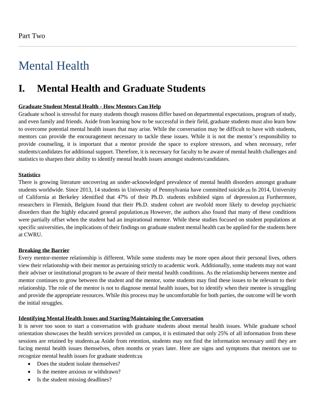# Mental Health

### **I. Mental Health and Graduate Students**

### **Graduate Student Mental Health - How Mentors Can Help**

Graduate school is stressful for many students though reasons differ based on departmental expectations, program of study, and even family and friends. Aside from learning how to be successful in their field, graduate students must also learn how to overcome potential mental health issues that may arise. While the conversation may be difficult to have with students, mentors can provide the encouragement necessary to tackle these issues. While it is not the mentor's responsibility to provide counseling, it is important that a mentor provide the space to explore stressors, and when necessary, refer students/candidates for additional support. Therefore, it is necessary for faculty to be aware of mental health challenges and statistics to sharpen their ability to identify mental health issues amongst students/candidates.

#### **Statistics**

There is growing literature uncovering an under-acknowledged prevalence of mental health disorders amongst graduate students worldwide. Since 2013, 14 students in University of Pennsylvania have committed suicide.**[1]** In 2014, University of California at Berkeley identified that 47% of their Ph.D. students exhibited signs of depression.**[2]** Furthermore, researchers in Flemish, Belgium found that their Ph.D. student cohort are twofold more likely to develop psychiatric disorders than the highly educated general population.**[3]** However, the authors also found that many of these conditions were partially offset when the student had an inspirational mentor. While these studies focused on student populations at specific universities, the implications of their findings on graduate student mental health can be applied for the students here at CWRU.

### **Breaking the Barrier**

Every mentor-mentee relationship is different. While some students may be more open about their personal lives, others view their relationship with their mentor as pertaining strictly to academic work. Additionally, some students may not want their adviser or institutional program to be aware of their mental health conditions. As the relationship between mentee and mentor continues to grow between the student and the mentor, some students may find these issues to be relevant to their relationship. The role of the mentor is not to diagnose mental health issues, but to identify when their mentee is struggling and provide the appropriate resources. While this process may be uncomfortable for both parties, the outcome will be worth the initial struggles.

### **Identifying Mental Health Issues and Starting/Maintaining the Conversation**

It is never too soon to start a conversation with graduate students about mental health issues. While graduate school orientation showcases the health services provided on campus, it is estimated that only 25% of all information from these sessions are retained by students.**[4]** Aside from retention, students may not find the information necessary until they are facing mental health issues themselves, often months or years later. Here are signs and symptoms that mentors use to recognize mental health issues for graduate students:**[3]**

- Does the student isolate themselves?
- Is the mentee anxious or withdrawn?
- Is the student missing deadlines?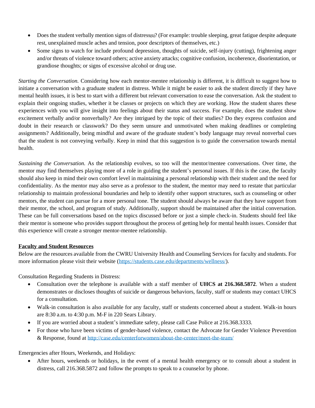- Does the student verbally mention signs of distress**[5]**? (For example: trouble sleeping, great fatigue despite adequate rest, unexplained muscle aches and tension, poor descriptors of themselves, etc.)
- Some signs to watch for include profound depression, thoughts of suicide, self-injury (cutting), frightening anger and/or threats of violence toward others; active anxiety attacks; cognitive confusion, incoherence, disorientation, or grandiose thoughts; or signs of excessive alcohol or drug use.

*Starting the Conversation.* Considering how each mentor-mentee relationship is different, it is difficult to suggest how to initiate a conversation with a graduate student in distress. While it might be easier to ask the student directly if they have mental health issues, it is best to start with a different but relevant conversation to ease the conversation. Ask the student to explain their ongoing studies, whether it be classes or projects on which they are working. How the student shares these experiences with you will give insight into feelings about their status and success. For example, does the student show excitement verbally and/or nonverbally? Are they intrigued by the topic of their studies? Do they express confusion and doubt in their research or classwork? Do they seem unsure and unmotivated when making deadlines or completing assignments? Additionally, being mindful and aware of the graduate student's body language may reveal nonverbal cues that the student is not conveying verbally. Keep in mind that this suggestion is to guide the conversation towards mental health.

*Sustaining the Conversation.* As the relationship evolves, so too will the mentor/mentee conversations. Over time, the mentor may find themselves playing more of a role in guiding the student's personal issues. If this is the case, the faculty should also keep in mind their own comfort level in maintaining a personal relationship with their student and the need for confidentiality. As the mentor may also serve as a professor to the student, the mentor may need to restate that particular relationship to maintain professional boundaries and help to identify other support structures, such as counseling or other mentors, the student can pursue for a more personal tone. The student should always be aware that they have support from their mentor, the school, and program of study. Additionally, support should be maintained after the initial conversation. These can be full conversations based on the topics discussed before or just a simple check-in. Students should feel like their mentor is someone who provides support throughout the process of getting help for mental health issues. Consider that this experience will create a stronger mentor-mentee relationship.

### **Faculty and Student Resources**

Below are the resources available from the CWRU University Health and Counseling Services for faculty and students. For more information please visit their website [\(https://students.case.edu/departments/wellness/\)](https://students.case.edu/departments/wellness/).

Consultation Regarding Students in Distress:

- Consultation over the telephone is available with a staff member of **UHCS at 216.368.5872**. When a student demonstrates or discloses thoughts of suicide or dangerous behaviors, faculty, staff or students may contact UHCS for a consultation.
- Walk-in consultation is also available for any faculty, staff or students concerned about a student. Walk-in hours are 8:30 a.m. to 4:30 p.m. M-F in 220 Sears Library.
- If you are worried about a student's immediate safety, please call Case Police at 216.368.3333.
- For those who have been victims of gender-based violence, contact the Advocate for Gender Violence Prevention & Response, found at <http://case.edu/centerforwomen/about-the-center/meet-the-team/>

Emergencies after Hours, Weekends, and Holidays:

• After hours, weekends or holidays, in the event of a mental health emergency or to consult about a student in distress, call 216.368.5872 and follow the prompts to speak to a counselor by phone.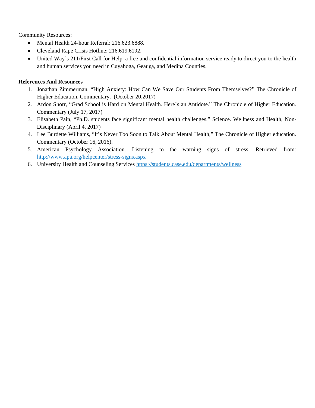Community Resources:

- Mental Health 24-hour Referral: 216.623.6888.
- Cleveland Rape Crisis Hotline: 216.619.6192.
- United Way's 211/First Call for Help: a free and confidential information service ready to direct you to the health and human services you need in Cuyahoga, Geauga, and Medina Counties.

### **References And Resources**

- 1. Jonathan Zimmerman, "High Anxiety: How Can We Save Our Students From Themselves?" The Chronicle of Higher Education. Commentary. (October 20,2017)
- 2. Ardon Shorr, "Grad School is Hard on Mental Health. Here's an Antidote." The Chronicle of Higher Education. Commentary (July 17, 2017)
- 3. Elisabeth Pain, "Ph.D. students face significant mental health challenges." Science. Wellness and Health, Non-Disciplinary (April 4, 2017)
- 4. Lee Burdette Williams, "It's Never Too Soon to Talk About Mental Health," The Chronicle of Higher education. Commentary (October 16, 2016).
- 5. American Psychology Association. Listening to the warning signs of stress. Retrieved from: <http://www.apa.org/helpcenter/stress-signs.aspx>
- 6. University Health and Counseling Services<https://students.case.edu/departments/wellness>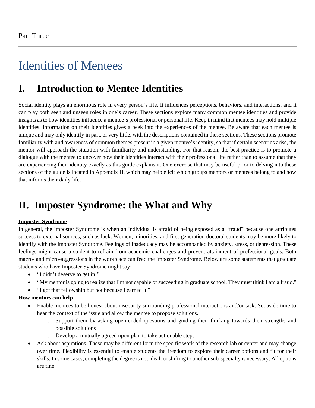# Identities of Mentees

### **I. Introduction to Mentee Identities**

Social identity plays an enormous role in every person's life. It influences perceptions, behaviors, and interactions, and it can play both seen and unseen roles in one's career. These sections explore many common mentee identities and provide insights as to how identities influence a mentee's professional or personal life. Keep in mind that mentees may hold multiple identities. Information on their identities gives a peek into the experiences of the mentee. Be aware that each mentee is unique and may only identify in part, or very little, with the descriptions contained in these sections. These sections promote familiarity with and awareness of common themes present in a given mentee's identity, so that if certain scenarios arise, the mentor will approach the situation with familiarity and understanding. For that reason, the best practice is to promote a dialogue with the mentee to uncover how their identities interact with their professional life rather than to assume that they are experiencing their identity exactly as this guide explains it. One exercise that may be useful prior to delving into these sections of the guide is located in Appendix H, which may help elicit which groups mentors or mentees belong to and how that informs their daily life.

### **II. Imposter Syndrome: the What and Why**

### **Imposter Syndrome**

In general, the Imposter Syndrome is when an individual is afraid of being exposed as a "fraud" because one attributes success to external sources, such as luck. Women, minorities, and first-generation doctoral students may be more likely to identify with the Imposter Syndrome. Feelings of inadequacy may be accompanied by anxiety, stress, or depression. These feelings might cause a student to refrain from academic challenges and prevent attainment of professional goals. Both macro- and micro-aggressions in the workplace can feed the Imposter Syndrome. Below are some statements that graduate students who have Imposter Syndrome might say:

- "I didn't deserve to get in!"
- "My mentor is going to realize that I'm not capable of succeeding in graduate school. They must think I am a fraud."
- "I got that fellowship but not because I earned it."

### **How mentors can help**

- Enable mentees to be honest about insecurity surrounding professional interactions and/or task. Set aside time to hear the context of the issue and allow the mentee to propose solutions.
	- o Support them by asking open-ended questions and guiding their thinking towards their strengths and possible solutions
	- o Develop a mutually agreed upon plan to take actionable steps
- Ask about aspirations. These may be different form the specific work of the research lab or center and may change over time. Flexibility is essential to enable students the freedom to explore their career options and fit for their skills. In some cases, completing the degree is not ideal, or shifting to another sub-specialty is necessary. All options are fine.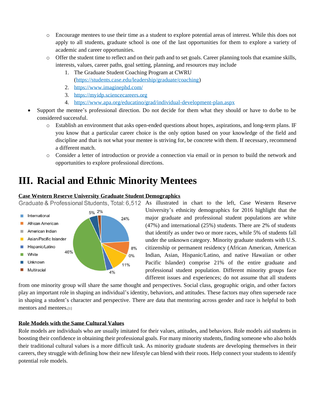- o Encourage mentees to use their time as a student to explore potential areas of interest. While this does not apply to all students, graduate school is one of the last opportunities for them to explore a variety of academic and career opportunities.
- o Offer the student time to reflect and on their path and to set goals. Career planning tools that examine skills, interests, values, career paths, goal setting, planning, and resources may include
	- 1. The Graduate Student Coaching Program at CWRU [\(https://students.case.edu/leadership/graduate/coaching\)](https://students.case.edu/leadership/graduate/coaching)
	- 2. <https://www.imaginephd.com/>
	- 3. [https://myidp.sciencecareers.org](https://myidp.sciencecareers.org/)
	- 4. <https://www.apa.org/educatino/grad/individual-development-plan.aspx>
- Support the mentee's professional direction. Do not decide for them what they should or have to do/be to be considered successful.
	- o Establish an environment that asks open-ended questions about hopes, aspirations, and long-term plans. IF you know that a particular career choice is the only option based on your knowledge of the field and discipline and that is not what your mentee is striving for, be concrete with them. If necessary, recommend a different match.
	- o Consider a letter of introduction or provide a connection via email or in person to build the network and opportunities to explore professional directions.

### **III. Racial and Ethnic Minority Mentees**

### **Case Western Reserve University Graduate Student Demographics**





Graduate & Professional Students, Total: 6,512 As illustrated in chart to the left, Case Western Reserve University's ethnicity demographics for 2016 highlight that the major graduate and professional student populations are white (47%) and international (25%) students. There are 2% of students that identify as under two or more races, while 5% of students fall under the unknown category. Minority graduate students with U.S. citizenship or permanent residency (African American, American Indian, Asian, Hispanic/Latino, and native Hawaiian or other Pacific Islander) comprise 21% of the entire graduate and professional student population. Different minority groups face different issues and experiences; do not assume that all students

from one minority group will share the same thought and perspectives. Social class, geographic origin, and other factors play an important role in shaping an individual's identity, behaviors, and attitudes. These factors may often supersede race in shaping a student's character and perspective. There are data that mentoring across gender and race is helpful to both mentors and mentees.[1]

#### **Role Models with the Same Cultural Values**

Role models are individuals who are usually imitated for their values, attitudes, and behaviors. Role models aid students in boosting their confidence in obtaining their professional goals. For many minority students, finding someone who also holds their traditional cultural values is a more difficult task. As minority graduate students are developing themselves in their careers, they struggle with defining how their new lifestyle can blend with their roots. Help connect your students to identify potential role models.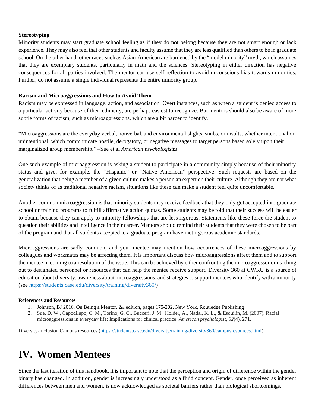### **Stereotyping**

Minority students may start graduate school feeling as if they do not belong because they are not smart enough or lack experience. They may also feel that other students and faculty assume that they are less qualified than others to be in graduate school. On the other hand, other races such as Asian-American are burdened by the "model minority" myth, which assumes that they are exemplary students, particularly in math and the sciences. Stereotyping in either direction has negative consequences for all parties involved. The mentor can use self-reflection to avoid unconscious bias towards minorities. Further, do not assume a single individual represents the entire minority group.

### **Racism and Microaggressions and How to Avoid Them**

Racism may be expressed in language, action, and association. Overt instances, such as when a student is denied access to a particular activity because of their ethnicity, are perhaps easiest to recognize. But mentors should also be aware of more subtle forms of racism, such as microaggressions, which are a bit harder to identify.

"Microaggressions are the everyday verbal, nonverbal, and environmental slights, snubs, or insults, whether intentional or unintentional, which communicate hostile, derogatory, or negative messages to target persons based solely upon their marginalized group membership." –Sue et al *American psychologist***[2]**

One such example of microaggression is asking a student to participate in a community simply because of their minority status and give, for example, the "Hispanic" or "Native American" perspective. Such requests are based on the generalization that being a member of a given culture makes a person an expert on their culture. Although they are not what society thinks of as traditional negative racism, situations like these can make a student feel quite uncomfortable.

Another common microaggression is that minority students may receive feedback that they only got accepted into graduate school or training programs to fulfill affirmative action quotas. Some students may be told that their success will be easier to obtain because they can apply to minority fellowships that are less rigorous. Statements like these force the student to question their abilities and intelligence in their career. Mentors should remind their students that they were chosen to be part of the program and that all students accepted to a graduate program have met rigorous academic standards.

Microaggressions are sadly common, and your mentee may mention how occurrences of these microaggressions by colleagues and workmates may be affecting them. It is important discuss how microaggressions affect them and to support the mentee in coming to a resolution of the issue. This can be achieved by either confronting the microaggressor or reaching out to designated personnel or resources that can help the mentee receive support. Diversity 360 at CWRU is a source of education about diversity, awareness about microaggressions, and strategies to support mentees who identify with a minority (see [https://students.case.edu/diversity/training/diversity360/\)](https://students.case.edu/diversity/training/diversity360/)

#### **References and Resources**

- 1. Johnson, BJ 2016. On Being a Mentor, 2nd edition, pages 175-202. New York, Routledge Publishing
- 2. Sue, D. W., Capodilupo, C. M., Torino, G. C., Bucceri, J. M., Holder, A., Nadal, K. L., & Esquilin, M. (2007). Racial microaggressions in everyday life: Implications for clinical practice. *American psychologist*, *62*(4), 271.

Diversity-Inclusion Campus resources [\(https://students.case.edu/diversity/training/diversity360/campusresources.html\)](https://students.case.edu/diversity/training/diversity360/campusresources.html)

### **IV. Women Mentees**

Since the last iteration of this handbook, it is important to note that the perception and origin of difference within the gender binary has changed. In addition, gender is increasingly understood as a fluid concept. Gender, once perceived as inherent differences between men and women, is now acknowledged as societal barriers rather than biological shortcomings.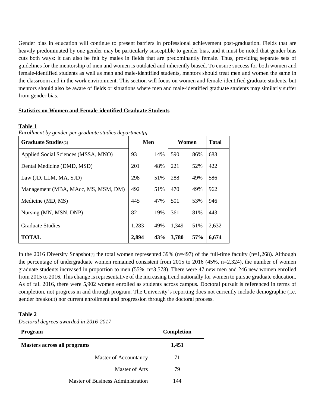Gender bias in education will continue to present barriers in professional achievement post-graduation. Fields that are heavily predominated by one gender may be particularly susceptible to gender bias, and it must be noted that gender bias cuts both ways: it can also be felt by males in fields that are predominantly female. Thus, providing separate sets of guidelines for the mentorship of men and women is outdated and inherently biased. To ensure success for both women and female-identified students as well as men and male-identified students, mentors should treat men and women the same in the classroom and in the work environment. This section will focus on women and female-identified graduate students, but mentors should also be aware of fields or situations where men and male-identified graduate students may similarly suffer from gender bias.

### **Statistics on Women and Female-identified Graduate Students**

#### **Table 1**

*Enrollment by gender per graduate studies department[1]*

| <b>Graduate Studies</b> [2]         | Men   |     | Women |     | <b>Total</b> |
|-------------------------------------|-------|-----|-------|-----|--------------|
| Applied Social Sciences (MSSA, MNO) | 93    | 14% | 590   | 86% | 683          |
| Dental Medicine (DMD, MSD)          | 201   | 48% | 221   | 52% | 422          |
| Law (JD, LLM, MA, SJD)              | 298   | 51% | 288   | 49% | 586          |
| Management (MBA, MAcc, MS, MSM, DM) | 492   | 51% | 470   | 49% | 962          |
| Medicine (MD, MS)                   | 445   | 47% | 501   | 53% | 946          |
| Nursing (MN, MSN, DNP)              | 82    | 19% | 361   | 81% | 443          |
| <b>Graduate Studies</b>             | 1,283 | 49% | 1,349 | 51% | 2,632        |
| <b>TOTAL</b>                        | 2,894 | 43% | 3,780 | 57% | 6,674        |

In the 2016 Diversity Snapshot<sub>[3]</sub> the total women represented 39% (n=497) of the full-time faculty (n=1,268). Although the percentage of undergraduate women remained consistent from 2015 to 2016 (45%, n=2,324), the number of women graduate students increased in proportion to men (55%, n=3,578). There were 47 new men and 246 new women enrolled from 2015 to 2016. This change is representative of the increasing trend nationally for women to pursue graduate education. As of fall 2016, there were 5,902 women enrolled as students across campus. Doctoral pursuit is referenced in terms of completion, not progress in and through program. The University's reporting does not currently include demographic (i.e. gender breakout) nor current enrollment and progression through the doctoral process.

#### **Table 2**

*Doctoral degrees awarded in 2016-2017*

| Program                            | Completion |
|------------------------------------|------------|
| <b>Masters across all programs</b> | 1,451      |
| Master of Accountancy              | 71         |
| Master of Arts                     | 79         |
| Master of Business Administration  | 144        |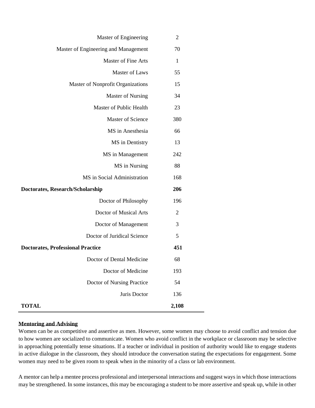| Master of Engineering                    | $\overline{2}$ |
|------------------------------------------|----------------|
| Master of Engineering and Management     | 70             |
| <b>Master of Fine Arts</b>               | $\mathbf{1}$   |
| Master of Laws                           | 55             |
| Master of Nonprofit Organizations        | 15             |
| Master of Nursing                        | 34             |
| Master of Public Health                  | 23             |
| <b>Master of Science</b>                 | 380            |
| MS in Anesthesia                         | 66             |
| MS in Dentistry                          | 13             |
| MS in Management                         | 242            |
| MS in Nursing                            | 88             |
| MS in Social Administration              | 168            |
| Doctorates, Research/Scholarship         | 206            |
| Doctor of Philosophy                     | 196            |
| Doctor of Musical Arts                   | 2              |
| Doctor of Management                     | 3              |
| Doctor of Juridical Science              | 5              |
| <b>Doctorates, Professional Practice</b> | 451            |
| Doctor of Dental Medicine                | 68             |
| Doctor of Medicine                       | 193            |
| Doctor of Nursing Practice               | 54             |
| Juris Doctor                             | 136            |
| <b>TOTAL</b>                             | 2,108          |

### **Mentoring and Advising**

Women can be as competitive and assertive as men. However, some women may choose to avoid conflict and tension due to how women are socialized to communicate. Women who avoid conflict in the workplace or classroom may be selective in approaching potentially tense situations. If a teacher or individual in position of authority would like to engage students in active dialogue in the classroom, they should introduce the conversation stating the expectations for engagement. Some women may need to be given room to speak when in the minority of a class or lab environment.

A mentor can help a mentee process professional and interpersonal interactions and suggest ways in which those interactions may be strengthened. In some instances, this may be encouraging a student to be more assertive and speak up, while in other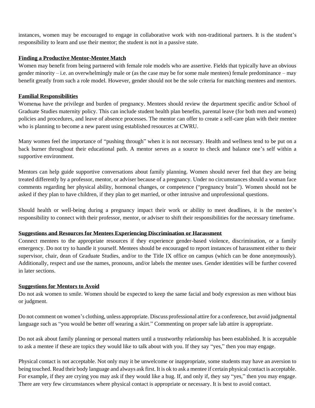instances, women may be encouraged to engage in collaborative work with non-traditional partners. It is the student's responsibility to learn and use their mentor; the student is not in a passive state.

### **Finding a Productive Mentor-Mentee Match**

Women may benefit from being partnered with female role models who are assertive. Fields that typically have an obvious gender minority – i.e. an overwhelmingly male or (as the case may be for some male mentees) female predominance – may benefit greatly from such a role model. However, gender should not be the sole criteria for matching mentees and mentors.

### **Familial Responsibilities**

Women<sub>[4]</sub> have the privilege and burden of pregnancy. Mentees should review the department specific and/or School of Graduate Studies maternity policy. This can include student health plan benefits, parental leave (for both men and women) policies and procedures, and leave of absence processes. The mentor can offer to create a self-care plan with their mentee who is planning to become a new parent using established resources at CWRU.

Many women feel the importance of "pushing through" when it is not necessary. Health and wellness tend to be put on a back burner throughout their educational path. A mentor serves as a source to check and balance one's self within a supportive environment.

Mentors can help guide supportive conversations about family planning. Women should never feel that they are being treated differently by a professor, mentor, or adviser because of a pregnancy. Under no circumstances should a woman face comments regarding her physical ability, hormonal changes, or competence ("pregnancy brain"). Women should not be asked if they plan to have children, if they plan to get married, or other intrusive and unprofessional questions.

Should health or well-being during a pregnancy impact their work or ability to meet deadlines, it is the mentee's responsibility to connect with their professor, mentor, or adviser to shift their responsibilities for the necessary timeframe.

#### **Suggestions and Resources for Mentees Experiencing Discrimination or Harassment**

Connect mentees to the appropriate resources if they experience gender-based violence, discrimination, or a family emergency. Do not try to handle it yourself. Mentees should be encouraged to report instances of harassment either to their supervisor, chair, dean of Graduate Studies, and/or to the Title IX office on campus (which can be done anonymously). Additionally, respect and use the names, pronouns, and/or labels the mentee uses. Gender identities will be further covered in later sections.

#### **Suggestions for Mentors to Avoid**

Do not ask women to smile. Women should be expected to keep the same facial and body expression as men without bias or judgment.

Do not comment on women's clothing, unless appropriate. Discuss professional attire for a conference, but avoid judgmental language such as "you would be better off wearing a skirt." Commenting on proper safe lab attire is appropriate.

Do not ask about family planning or personal matters until a trustworthy relationship has been established. It is acceptable to ask a mentee if these are topics they would like to talk about with you. If they say "yes," then you may engage.

Physical contact is not acceptable. Not only may it be unwelcome or inappropriate, some students may have an aversion to being touched. Read their body language and always ask first. It is ok to ask a mentee if certain physical contact is acceptable. For example, if they are crying you may ask if they would like a hug. If, and only if, they say "yes," then you may engage. There are very few circumstances where physical contact is appropriate or necessary. It is best to avoid contact.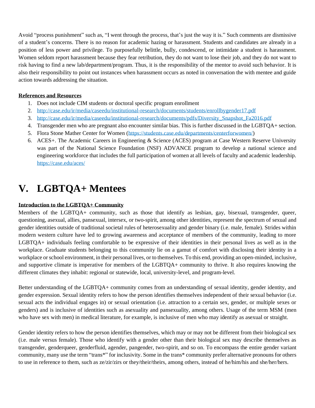Avoid "process punishment" such as, "I went through the process, that's just the way it is." Such comments are dismissive of a student's concerns. There is no reason for academic hazing or harassment. Students and candidates are already in a position of less power and privilege. To purposefully belittle, bully, condescend, or intimidate a student is harassment. Women seldom report harassment because they fear retribution, they do not want to lose their job, and they do not want to risk having to find a new lab/department/program. Thus, it is the responsibility of the mentor to avoid such behavior. It is also their responsibility to point out instances when harassment occurs as noted in conversation the with mentee and guide action towards addressing the situation.

### **References and Resources**

- 1. Does not include CIM students or doctoral specific program enrollment
- 2. <http://case.edu/ir/media/caseedu/institutional-research/documents/students/enrollbygender17.pdf>
- 3. [http://case.edu/ir/media/caseedu/institutional-research/documents/pdfs/Diversity\\_Snapshot\\_Fa2016.pdf](http://case.edu/ir/media/caseedu/institutional-research/documents/pdfs/Diversity_Snapshot_Fa2016.pdf)
- 4. Transgender men who are pregnant also encounter similar bias. This is further discussed in the LGBTQA+ section.
- 5. Flora Stone Mather Center for Women [\(https://students.case.edu/departments/centerforwomen/\)](https://students.case.edu/departments/centerforwomen/)
- 6. ACES+. The Academic Careers in Engineering & Science (ACES) program at Case Western Reserve University was part of the National Science Foundation (NSF) ADVANCE program to develop a national science and engineering workforce that includes the full participation of women at all levels of faculty and academic leadership. <https://case.edu/aces/>

### **V. LGBTQA+ Mentees**

### **Introduction to the LGBTQA+ Community**

Members of the LGBTQA+ community, such as those that identify as lesbian, gay, bisexual, transgender, queer, questioning, asexual, allies, pansexual, intersex, or two-spirit, among other identities, represent the spectrum of sexual and gender identities outside of traditional societal rules of heterosexuality and gender binary (i.e. male, female). Strides within modern western culture have led to growing awareness and acceptance of members of the community, leading to more LGBTQA+ individuals feeling comfortable to be expressive of their identities in their personal lives as well as in the workplace. Graduate students belonging to this community lie on a gamut of comfort with disclosing their identity in a workplace or school environment, in their personal lives, or to themselves. To this end, providing an open-minded, inclusive, and supportive climate is imperative for members of the LGBTQA+ community to thrive. It also requires knowing the different climates they inhabit: regional or statewide, local, university-level, and program-level.

Better understanding of the LGBTQA+ community comes from an understanding of sexual identity, gender identity, and gender expression. Sexual identity refers to how the person identifies themselves independent of their sexual behavior (i.e. sexual acts the individual engages in) or sexual orientation (i.e. attraction to a certain sex, gender, or multiple sexes or genders) and is inclusive of identities such as asexuality and pansexuality, among others. Usage of the term MSM (men who have sex with men) in medical literature, for example, is inclusive of men who may identify as asexual or straight.

Gender identity refers to how the person identifies themselves, which may or may not be different from their biological sex (i.e. male versus female). Those who identify with a gender other than their biological sex may describe themselves as transgender, genderqueer, genderfluid, agender, pangender, two-spirit, and so on. To encompass the entire gender variant community, many use the term "trans\*" for inclusivity. Some in the trans\* community prefer alternative pronouns for others to use in reference to them, such as ze/zir/zirs or they/their/theirs, among others, instead of he/him/his and she/her/hers.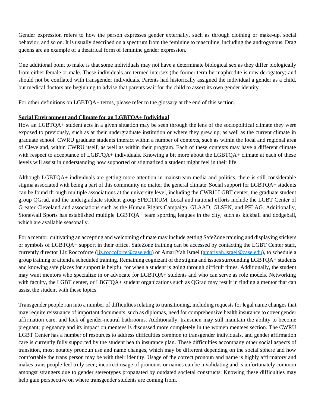Gender expression refers to how the person expresses gender externally, such as through clothing or make-up, social behavior, and so on. It is usually described on a spectrum from the feminine to masculine, including the androgynous. Drag queens are an example of a theatrical form of feminine gender expression.

One additional point to make is that some individuals may not have a determinate biological sex as they differ biologically from either female or male. These individuals are termed intersex (the former term hermaphrodite is now derogatory) and should not be conflated with transgender individuals. Parents had historically assigned the individual a gender as a child, but medical doctors are beginning to advise that parents wait for the child to assert its own gender identity.

For other definitions on LGBTQA+ terms, please refer to the glossary at the end of this section.

### **Social Environment and Climate for an LGBTQA+ Individual**

How an LGBTQA+ student acts in a given situation may be seen through the lens of the sociopolitical climate they were exposed to previously, such as at their undergraduate institution or where they grew up, as well as the current climate in graduate school. CWRU graduate students interact within a number of contexts, such as within the local and regional area of Cleveland, within CWRU itself, as well as within their program. Each of these contexts may have a different climate with respect to acceptance of LGBTQA+ individuals. Knowing a bit more about the LGBTQA+ climate at each of these levels will assist in understanding how supported or stigmatized a student might feel in their life.

Although LGBTQA+ individuals are getting more attention in mainstream media and politics, there is still considerable stigma associated with being a part of this community no matter the general climate. Social support for LGBTQA+ students can be found through multiple associations at the university level, including the CWRU LGBT center, the graduate student group QGrad, and the undergraduate student group SPECTRUM. Local and national efforts include the LGBT Center of Greater Cleveland and associations such as the Human Rights Campaign, GLAAD, GLSEN, and PFLAG. Additionally, Stonewall Sports has established multiple LGBTQA+ team sporting leagues in the city, such as kickball and dodgeball, which are available seasonally.

For a mentor, cultivating an accepting and welcoming climate may include getting SafeZone training and displaying stickers or symbols of LGBTQA+ support in their office. SafeZone training can be accessed by contacting the LGBT Center staff, currently director Liz Roccoforte [\(liz.roccoforte@case.edu\)](mailto:liz.roccoforte@case.edu) or AmariYah Israel [\(amariyah.israel@case.edu\)](mailto:amariyah.israel@case.edu), to schedule a group training or attend a scheduled training. Remaining cognizant of the stigma and issuessurrounding LGBTQA+ students and knowing safe places for support is helpful for when a student is going through difficult times. Additionally, the student may want mentors who specialize in or advocate for LGBTQA+ students and who can serve as role models. Networking with faculty, the LGBT center, or LBGTQA+ student organizations such as QGrad may result in finding a mentor that can assist the student with these topics.

Transgender people run into a number of difficulties relating to transitioning, including requests for legal name changes that may require reissuance of important documents, such as diplomas, need for comprehensive health insurance to cover gender affirmation care, and lack of gender-neutral bathrooms. Additionally, transmen may still maintain the ability to become pregnant; pregnancy and its impact on mentees is discussed more completely in the women mentees section. The CWRU LGBT Center has a number of resources to address difficulties common to transgender individuals, and gender affirmation care is currently fully supported by the student health insurance plan. These difficulties accompany other social aspects of transition, most notably pronoun use and name changes, which may be different depending on the social sphere and how comfortable the trans person may be with their identity. Usage of the correct pronoun and name is highly affirmatory and makes trans people feel truly seen; incorrect usage of pronouns or names can be invalidating and is unfortunately common amongst strangers due to gender stereotypes propagated by outdated societal constructs. Knowing these difficulties may help gain perspective on where transgender students are coming from.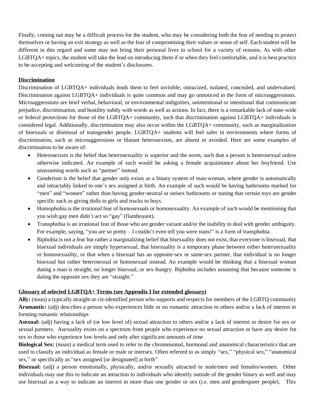Finally, coming out may be a difficult process for the student, who may be considering both the fear of needing to protect themselves or having an exit strategy as well as the fear of compromising their values or sense of self. Each student will be different in this regard and some may not bring their personal lives to school for a variety of reasons. As with other LGBTQA+ topics, the student will take the lead on introducing them if or when they feel comfortable, and it is best practice to be accepting and welcoming of the student's disclosures.

### **Discrimination**

Discrimination of LGBTQA+ individuals leads them to feel invisible, ostracized, isolated, concealed, and undervalued. Discrimination against LGBTQA+ individuals is quite common and may go unnoticed in the form of microaggressions. Microaggressions are brief verbal, behavioral, or environmental indignities, unintentional or intentional that communicate prejudice, discrimination, and hostility subtly with words as well as actions. In fact, there is a remarkable lack of state-wide or federal protections for those of the LGBTQA+ community, such that discrimination against LGBTQA+ individuals is considered legal. Additionally, discrimination may also occur within the LGBTQA+ community, such as marginalization of bisexuals or dismissal of transgender people. LGBTQA+ students will feel safer in environments where forms of discrimination, such as microaggressions or blatant heterosexism, are absent or avoided. Here are some examples of discrimination to be aware of:

- Heterosexism is the belief that heterosexuality is superior and the norm, such that a person is heterosexual unless otherwise indicated. An example of such would be asking a female acquaintance about her boyfriend. Use unassuming words such as "partner" instead.
- Genderism is the belief that gender only exists as a binary system of man-woman, where gender is automatically and intractably linked to one's sex assigned at birth. An example of such would be having bathrooms marked for "men" and "women" rather than having gender-neutral or unisex bathrooms or stating that certain toys are gender specific such as giving dolls to girls and trucks to boys.
- Homophobia is the irrational fear of homosexuals or homosexuality. An example of such would be mentioning that you wish gay men didn't act so "gay" (flamboyant).
- Transphobia is an irrational fear of those who are gender variant and/or the inability to deal with gender ambiguity. For example, saying, "you are so pretty  $-1$  couldn't even tell you were trans!" is a form of transphobia.
- Biphobia is not a fear but rather a marginalizing belief that bisexuality does not exist, that everyone is bisexual, that bisexual individuals are simply hypersexual, that bisexuality is a temporary phase between either heterosexuality or homosexuality, or that when a bisexual has an opposite-sex or same-sex partner, that individual is no longer bisexual but rather heterosexual or homosexual instead. An example would be thinking that a bisexual woman dating a man is straight, no longer bisexual, or sex-hungry. Biphobia includes assuming that because someone is dating the opposite sex they are "straight."

### **Glossary of selected LGBTQA+ Terms (see Appendix I for extended glossary)**

**Ally:** (noun) a typically straight or cis-identified person who supports and respects for members of the LGBTQ community **Aromantic:** (adj) describes a person who experiences little or no romantic attraction to others and/or a lack of interest in forming romantic relationships

**Asexual:** (adj) having a lack of (or low level of) sexual attraction to others and/or a lack of interest or desire for sex or sexual partners. Asexuality exists on a spectrum from people who experience no sexual attraction or have any desire for sex to those who experience low levels and only after significant amounts of time

**Biological Sex:** (noun) a medical term used to refer to the chromosomal, hormonal and anatomical characteristics that are used to classify an individual as female or male or intersex. Often referred to as simply "sex," "physical sex," "anatomical sex," or specifically as "sex assigned [or designated] at birth"

**Bisexual:** (adj) a person emotionally, physically, and/or sexually attracted to male/men and females/women. Other individuals may use this to indicate an attraction to individuals who identify outside of the gender binary as well and may use bisexual as a way to indicate an interest in more than one gender or sex (i.e. men and genderqueer people). This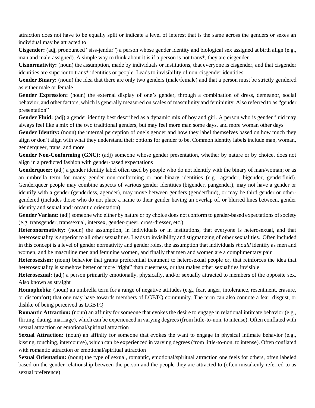attraction does not have to be equally split or indicate a level of interest that is the same across the genders or sexes an individual may be attracted to

**Cisgender:** (adj, pronounced "siss-jendur") a person whose gender identity and biological sex assigned at birth align (e.g., man and male-assigned). A simple way to think about it is if a person is not trans\*, they are cisgender

**Cisnormativity:** (noun) the assumption, made by individuals or institutions, that everyone is cisgender, and that cisgender identities are superior to trans\* identities or people. Leads to invisibility of non-cisgender identities

Gender Binary: (noun) the idea that there are only two genders (male/female) and that a person must be strictly gendered as either male or female

**Gender Expression:** (noun) the external display of one's gender, through a combination of dress, demeanor, social behavior, and other factors, which is generally measured on scales of masculinity and femininity. Also referred to as "gender presentation"

**Gender Fluid:** (adj) a gender identity best described as a dynamic mix of boy and girl. A person who is gender fluid may always feel like a mix of the two traditional genders, but may feel more man some days, and more woman other days

**Gender Identity:** (noun) the internal perception of one's gender and how they label themselves based on how much they align or don't align with what they understand their options for gender to be. Common identity labels include man, woman, genderqueer, trans, and more

**Gender Non-Conforming (GNC):** (adj) someone whose gender presentation, whether by nature or by choice, does not align in a predicted fashion with gender-based expectations

**Genderqueer:** (adj) a gender identity label often used by people who do not identify with the binary of man/woman; or as an umbrella term for many gender non-conforming or non-binary identities (e.g., agender, bigender, genderfluid). Genderqueer people may combine aspects of various gender identities (bigender, pangender), may not have a gender or identify with a gender (genderless, agender), may move between genders (genderfluid), or may be third gender or othergendered (includes those who do not place a name to their gender having an overlap of, or blurred lines between, gender identity and sexual and romantic orientation)

**Gender Variant:** (adj) someone who either by nature or by choice does not conform to gender-based expectations of society (e.g. transgender, transsexual, intersex, gender-queer, cross-dresser, etc.)

**Heteronormativity:** (noun) the assumption, in individuals or in institutions, that everyone is heterosexual, and that heterosexuality is superior to all other sexualities. Leads to invisibility and stigmatizing of other sexualities. Often included in this concept is a level of gender normativity and gender roles, the assumption that individuals *should* identify as men and women, and be masculine men and feminine women, and finally that men and women are a complimentary pair

**Heterosexism:** (noun) behavior that grants preferential treatment to heterosexual people or, that reinforces the idea that heterosexuality is somehow better or more "right" than queerness, or that makes other sexualities invisible

**Heterosexual:** (adj) a person primarily emotionally, physically, and/or sexually attracted to members of the opposite sex. Also known as straight

**Homophobia:** (noun) an umbrella term for a range of negative attitudes (e.g., fear, anger, intolerance, resentment, erasure, or discomfort) that one may have towards members of LGBTQ community. The term can also connote a fear, disgust, or dislike of being perceived as LGBTQ

**Romantic Attraction:** (noun) an affinity for someone that evokes the desire to engage in relational intimate behavior (e.g., flirting, dating, marriage), which can be experienced in varying degrees (from little-to-non, to intense). Often conflated with sexual attraction or emotional/spiritual attraction

**Sexual Attraction:** (noun) an affinity for someone that evokes the want to engage in physical intimate behavior (e.g., kissing, touching, intercourse), which can be experienced in varying degrees (from little-to-non, to intense). Often conflated with romantic attraction or emotional/spiritual attraction

**Sexual Orientation:** (noun) the type of sexual, romantic, emotional/spiritual attraction one feels for others, often labeled based on the gender relationship between the person and the people they are attracted to (often mistakenly referred to as sexual preference)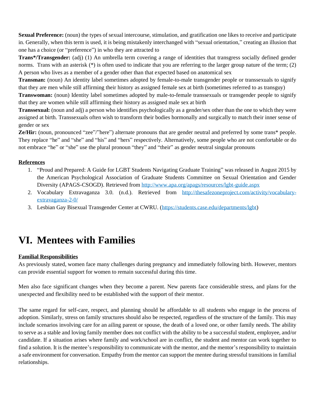**Sexual Preference:** (noun) the types of sexual intercourse, stimulation, and gratification one likes to receive and participate in. Generally, when this term is used, it is being mistakenly interchanged with "sexual orientation," creating an illusion that one has a choice (or "preference") in who they are attracted to

**[Trans\\*/](http://itspronouncedmetrosexual.com/2012/05/what-does-the-asterisk-in-trans-stand-for/)Transgender:** (adj) (1) An umbrella term covering a range of identities that transgress socially defined gender norms. Trans with an asterisk  $(*)$  is often used to indicate that you are referring to the larger group nature of the term; (2) A person who lives as a member of a gender other than that expected based on anatomical sex

**Transman:** (noun) An identity label sometimes adopted by female-to-male transgender people or transsexuals to signify that they are men while still affirming their history as assigned female sex at birth (sometimes referred to as transguy)

**Transwoman:** (noun) Identity label sometimes adopted by male-to-female transsexuals or transgender people to signify that they are women while still affirming their history as assigned male sex at birth

**Transsexual:** (noun and adj) a person who identifies psychologically as a gender/sex other than the one to which they were assigned at birth. Transsexuals often wish to transform their bodies hormonally and surgically to match their inner sense of gender or sex

**Ze/Hir:** (noun, pronounced "zee"/"here") alternate pronouns that are gender neutral and preferred by some trans\* people. They replace "he" and "she" and "his" and "hers" respectively. Alternatively, some people who are not comfortable or do not embrace "he" or "she" use the plural pronoun "they" and "their" as gender neutral singular pronouns

### **References**

- 1. "Proud and Prepared: A Guide for LGBT Students Navigating Graduate Training" was released in August 2015 by the American Psychological Association of Graduate Students Committee on Sexual Orientation and Gender Diversity (APAGS-CSOGD). Retrieved from <http://www.apa.org/apags/resources/lgbt-guide.aspx>
- 2. Vocabulary Extravaganza 3.0. (n.d.). Retrieved from [http://thesafezoneproject.com/activity/vocabulary](http://thesafezoneproject.com/activity/vocabulary-extravaganza-2-0/)[extravaganza-2-0/](http://thesafezoneproject.com/activity/vocabulary-extravaganza-2-0/)
- 3. Lesbian Gay Bisexual Transgender Center at CWRU. [\(https://students.case.edu/departments/lgbt\)](https://students.case.edu/departments/lgbt)

### **VI. Mentees with Families**

### **Familial Responsibilities**

As previously stated, women face many challenges during pregnancy and immediately following birth. However, mentors can provide essential support for women to remain successful during this time.

Men also face significant changes when they become a parent. New parents face considerable stress, and plans for the unexpected and flexibility need to be established with the support of their mentor.

The same regard for self-care, respect, and planning should be affordable to all students who engage in the process of adoption. Similarly, stress on family structures should also be respected, regardless of the structure of the family. This may include scenarios involving care for an ailing parent or spouse, the death of a loved one, or other family needs. The ability to serve as a stable and loving family member does not conflict with the ability to be a successful student, employee, and/or candidate. If a situation arises where family and work/school are in conflict, the student and mentor can work together to find a solution. It is the mentee's responsibility to communicate with the mentor, and the mentor's responsibility to maintain a safe environment for conversation. Empathy from the mentor can support the mentee during stressful transitions in familial relationships.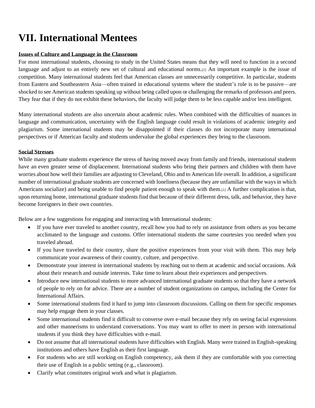### **VII. International Mentees**

### **Issues of Culture and Language in the Classroom**

For most international students, choosing to study in the United States means that they will need to function in a second language and adjust to an entirely new set of cultural and educational norms.[1] An important example is the issue of competition. Many international students feel that American classes are unnecessarily competitive. In particular, students from Eastern and Southeastern Asia—often trained in educational systems where the student's role is to be passive—are shocked to see American students speaking up without being called upon or challenging the remarks of professors and peers. They fear that if they do not exhibit these behaviors, the faculty will judge them to be less capable and/or less intelligent.

Many international students are also uncertain about academic rules. When combined with the difficulties of nuances in language and communication, uncertainty with the English language could result in violations of academic integrity and plagiarism. Some international students may be disappointed if their classes do not incorporate many international perspectives or if American faculty and students undervalue the global experiences they bring to the classroom.

#### **Social Stresses**

While many graduate students experience the stress of having moved away from family and friends, international students have an even greater sense of displacement. International students who bring their partners and children with them have worries about how well their families are adjusting to Cleveland, Ohio and to American life overall. In addition, a significant number of international graduate students are concerned with loneliness (because they are unfamiliar with the ways in which Americans socialize) and being unable to find people patient enough to speak with them.[1] A further complication is that, upon returning home, international graduate students find that because of their different dress, talk, and behavior, they have become foreigners in their own countries.

Below are a few suggestions for engaging and interacting with International students:

- If you have ever traveled to another country, recall how you had to rely on assistance from others as you became acclimated to the language and customs. Offer international students the same courtesies you needed when you traveled abroad.
- If you have traveled to their country, share the positive experiences from your visit with them. This may help communicate your awareness of their country, culture, and perspective.
- Demonstrate your interest in international students by reaching out to them at academic and social occasions. Ask about their research and outside interests. Take time to learn about their experiences and perspectives.
- Introduce new international students to more advanced international graduate students so that they have a network of people to rely on for advice. There are a number of student organizations on campus, including the Center for International Affairs.
- Some international students find it hard to jump into classroom discussions. Calling on them for specific responses may help engage them in your classes.
- Some international students find it difficult to converse over e-mail because they rely on seeing facial expressions and other mannerisms to understand conversations. You may want to offer to meet in person with international students if you think they have difficulties with e-mail.
- Do not assume that all international students have difficulties with English. Many were trained in English-speaking institutions and others have English as their first language.
- For students who are still working on English competency, ask them if they are comfortable with you correcting their use of English in a public setting (e.g., classroom).
- Clarify what constitutes original work and what is plagiarism.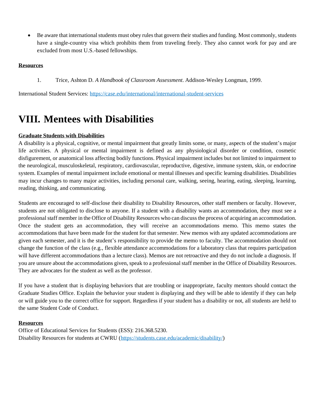• Be aware that international students must obey rules that govern their studies and funding. Most commonly, students have a single-country visa which prohibits them from traveling freely. They also cannot work for pay and are excluded from most U.S.-based fellowships.

### **Resources**

1. Trice, Ashton D. *A Handbook of Classroom Assessment*. Addison-Wesley Longman, 1999.

International Student Services:<https://case.edu/international/international-student-services>

### **VIII. Mentees with Disabilities**

### **Graduate Students with Disabilities**

A disability is a physical, cognitive, or mental impairment that greatly limits some, or many, aspects of the student's major life activities. A physical or mental impairment is defined as any physiological disorder or condition, cosmetic disfigurement, or anatomical loss affecting bodily functions. Physical impairment includes but not limited to impairment to the neurological, musculoskeletal, respiratory, cardiovascular, reproductive, digestive, immune system, skin, or endocrine system. Examples of mental impairment include emotional or mental illnesses and specific learning disabilities. Disabilities may incur changes to many major activities, including personal care, walking, seeing, hearing, eating, sleeping, learning, reading, thinking, and communicating.

Students are encouraged to self-disclose their disability to Disability Resources, other staff members or faculty. However, students are not obligated to disclose to anyone. If a student with a disability wants an accommodation, they must see a professional staff member in the Office of Disability Resources who can discuss the process of acquiring an accommodation. Once the student gets an accommodation, they will receive an accommodations memo. This memo states the accommodations that have been made for the student for that semester. New memos with any updated accommodations are given each semester, and it is the student's responsibility to provide the memo to faculty. The accommodation should not change the function of the class (e.g., flexible attendance accommodations for a laboratory class that requires participation will have different accommodations than a lecture class). Memos are not retroactive and they do not include a diagnosis. If you are unsure about the accommodations given, speak to a professional staff member in the Office of Disability Resources. They are advocates for the student as well as the professor.

If you have a student that is displaying behaviors that are troubling or inappropriate, faculty mentors should contact the Graduate Studies Office. Explain the behavior your student is displaying and they will be able to identify if they can help or will guide you to the correct office for support. Regardless if your student has a disability or not, all students are held to the same Student Code of Conduct.

### **Resources**

Office of Educational Services for Students (ESS): 216.368.5230. Disability Resources for students at CWRU [\(https://students.case.edu/academic/disability/\)](https://students.case.edu/academic/disability/)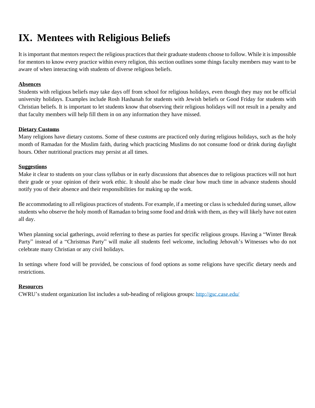### **IX. Mentees with Religious Beliefs**

It is important that mentors respect the religious practices that their graduate students choose to follow. While it is impossible for mentors to know every practice within every religion, this section outlines some things faculty members may want to be aware of when interacting with students of diverse religious beliefs.

### **Absences**

Students with religious beliefs may take days off from school for religious holidays, even though they may not be official university holidays. Examples include Rosh Hashanah for students with Jewish beliefs or Good Friday for students with Christian beliefs. It is important to let students know that observing their religious holidays will not result in a penalty and that faculty members will help fill them in on any information they have missed.

#### **Dietary Customs**

Many religions have dietary customs. Some of these customs are practiced only during religious holidays, such as the holy month of Ramadan for the Muslim faith, during which practicing Muslims do not consume food or drink during daylight hours. Other nutritional practices may persist at all times.

#### **Suggestions**

Make it clear to students on your class syllabus or in early discussions that absences due to religious practices will not hurt their grade or your opinion of their work ethic. It should also be made clear how much time in advance students should notify you of their absence and their responsibilities for making up the work.

Be accommodating to all religious practices of students. For example, if a meeting or class is scheduled during sunset, allow students who observe the holy month of Ramadan to bring some food and drink with them, as they will likely have not eaten all day.

When planning social gatherings, avoid referring to these as parties for specific religious groups. Having a "Winter Break Party" instead of a "Christmas Party" will make all students feel welcome, including Jehovah's Witnesses who do not celebrate many Christian or any civil holidays.

In settings where food will be provided, be conscious of food options as some religions have specific dietary needs and restrictions.

#### **Resources**

CWRU's student organization list includes a sub-heading of religious groups[: http://gsc.case.edu/](http://gsc.case.edu/)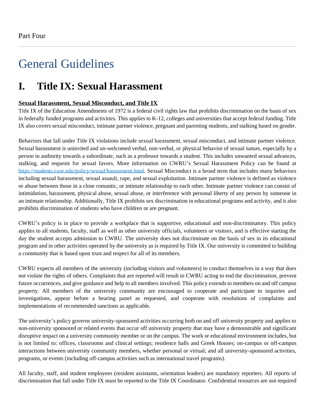# General Guidelines

### **I. Title IX: Sexual Harassment**

### **Sexual Harassment, Sexual Misconduct, and Title IX**

Title IX of the Education Amendments of 1972 is a federal civil rights law that prohibits discrimination on the basis of sex in federally funded programs and activities. This applies to K-12, colleges and universities that accept federal funding. Title IX also covers sexual misconduct, intimate partner violence, pregnant and parenting students, and stalking based on gender.

Behaviors that fall under Title IX violations include sexual harassment, sexual misconduct, and intimate partner violence. Sexual harassment is uninvited and un-welcomed verbal, non-verbal, or physical behavior of sexual nature, especially by a person in authority towards a subordinate, such as a professor towards a student. This includes unwanted sexual advances, stalking, and requests for sexual favors. More information on CWRU's Sexual Harassment Policy can be found at [https://students.case.edu/policy/sexual/harassment.html.](https://students.case.edu/policy/sexual/harassment.html) Sexual Misconduct is a broad term that includes many behaviors including sexual harassment, sexual assault, rape, and sexual exploitation. Intimate partner violence is defined as violence or abuse between those in a close romantic, or intimate relationship to each other. Intimate partner violence can consist of intimidation, harassment, physical abuse, sexual abuse, or interference with personal liberty of any person by someone in an intimate relationship. Additionally, Title IX prohibits sex discrimination in educational programs and activity, and it also prohibits discrimination of students who have children or are pregnant.

CWRU's policy is in place to provide a workplace that is supportive, educational and non-discriminatory. This policy applies to all students, faculty, staff as well as other university officials, volunteers or visitors, and is effective starting the day the student accepts admission to CWRU. The university does not discriminate on the basis of sex in its educational program and in other activities operated by the university as is required by Title IX. Our university is committed to building a community that is based upon trust and respect for all of its members.

CWRU expects all members of the university (including visitors and volunteers) to conduct themselves in a way that does not violate the rights of others. Complaints that are reported will result in CWRU acting to end the discrimination, prevent future occurrences, and give guidance and help to all members involved. This policy extends to members on and off campus property. All members of the university community are encouraged to cooperate and participate in inquiries and investigations, appear before a hearing panel as requested, and cooperate with resolutions of complaints and implementations of recommended sanctions as applicable.

The university's policy governs university-sponsored activities occurring both on and off university property and applies to non-university sponsored or related events that occur off university property that may have a demonstrable and significant disruptive impact on a university community member or on the campus. The work or educational environment includes, but is not limited to: offices, classrooms and clinical settings; residence halls and Greek Houses; on-campus or off-campus interactions between university community members, whether personal or virtual; and all university-sponsored activities, programs, or events (including off-campus activities such as international travel programs).

All faculty, staff, and student employees (resident assistants, orientation leaders) are mandatory reporters. All reports of discrimination that fall under Title IX must be reported to the Title IX Coordinator. Confidential resources are not required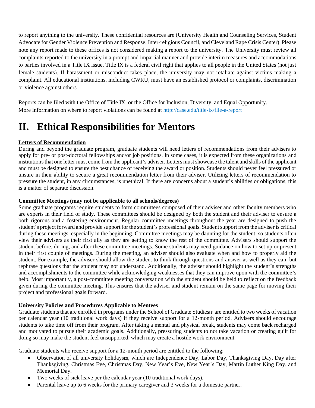to report anything to the university. These confidential resources are (University Health and Counseling Services, Student Advocate for Gender Violence Prevention and Response, Inter-religious Council, and Cleveland Rape Crisis Center). Please note any report made to these offices is not considered making a report to the university. The University must review all complaints reported to the university in a prompt and impartial manner and provide interim measures and accommodations to parties involved in a Title IX issue. Title IX is a federal civil right that applies to all people in the United States (not just female students). If harassment or misconduct takes place, the university may not retaliate against victims making a complaint. All educational institutions, including CWRU, must have an established protocol or complaints, discrimination or violence against others.

Reports can be filed with the Office of Title IX, or the Office for Inclusion, Diversity, and Equal Opportunity. More information on where to report violations can be found at<http://case.edu/title-ix/file-a-report>

### **II. Ethical Responsibilities for Mentors**

### **Letters of Recommendation**

During and beyond the graduate program, graduate students will need letters of recommendations from their advisers to apply for pre- or post-doctoral fellowships and/or job positions. In some cases, it is expected from these organizations and institutions that one letter must come from the applicant's adviser. Letters must showcase the talent and skills of the applicant and must be designed to ensure the best chance of receiving the award or position. Students should never feel pressured or unsure in their ability to secure a great recommendation letter from their adviser. Utilizing letters of recommendation to pressure the student, in any circumstances, is unethical. If there are concerns about a student's abilities or obligations, this is a matter of separate discussion.

#### **Committee Meetings (may not be applicable to all schools/degrees)**

Some graduate programs require students to form committees composed of their adviser and other faculty members who are experts in their field of study. These committees should be designed by both the student and their adviser to ensure a both rigorous and a fostering environment. Regular committee meetings throughout the year are designed to push the student's project forward and provide support for the student's professional goals. Student support from the adviser is critical during these meetings, especially in the beginning. Committee meetings may be daunting for the student, so students often view their advisers as their first ally as they are getting to know the rest of the committee. Advisers should support the student before, during, and after these committee meetings. Some students may need guidance on how to set up or present in their first couple of meetings. During the meeting, an adviser should also evaluate when and how to properly aid the student. For example, the adviser should allow the student to think through questions and answer as well as they can, but rephrase questions that the student may not understand. Additionally, the adviser should highlight the student's strengths and accomplishments to the committee while acknowledging weaknesses that they can improve upon with the committee's help. Most importantly, a post-committee meeting conversation with the student should be held to reflect on the feedback given during the committee meeting. This ensures that the adviser and student remain on the same page for moving their project and professional goals forward.

#### **University Policies and Procedures Applicable to Mentees**

Graduate students that are enrolled in programs under the School of Graduate Studies**[1]** are entitled to two weeks of vacation per calendar year (10 traditional work days) if they receive support for a 12-month period. Advisers should encourage students to take time off from their program. After taking a mental and physical break, students may come back recharged and motivated to pursue their academic goals. Additionally, pressuring students to not take vacation or creating guilt for doing so may make the student feel unsupported, which may create a hostile work environment.

Graduate students who receive support for a 12-month period are entitled to the following:

- Observation of all university holidays**[2]**, which are Independence Day, Labor Day, Thanksgiving Day, Day after Thanksgiving, Christmas Eve, Christmas Day, New Year's Eve, New Year's Day, Martin Luther King Day, and Memorial Day.
- Two weeks of sick leave per the calendar year (10 traditional work days).
- Parental leave up to 6 weeks for the primary caregiver and 3 weeks for a domestic partner.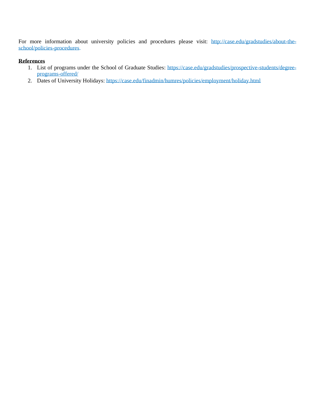For more information about university policies and procedures please visit: [http://case.edu/gradstudies/about-the](http://case.edu/gradstudies/about-the-school/policies-procedures)[school/policies-procedures.](http://case.edu/gradstudies/about-the-school/policies-procedures)

### **References**

- 1. List of programs under the School of Graduate Studies: [https://case.edu/gradstudies/prospective-students/degree](https://case.edu/gradstudies/prospective-students/degree-programs-offered/)[programs-offered/](https://case.edu/gradstudies/prospective-students/degree-programs-offered/)
- 2. Dates of University Holidays:<https://case.edu/finadmin/humres/policies/employment/holiday.html>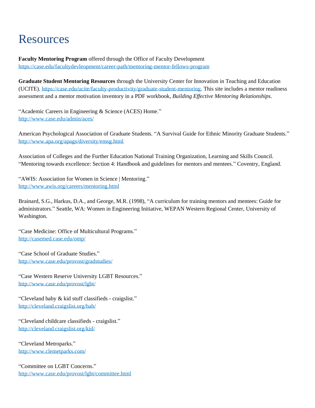## Resources

**Faculty Mentoring Program** offered through the Office of Faculty Development <https://case.edu/facultydevleopment/career-path/mentoring-mentor-fellows-program>

**Graduate Student Mentoring Resources** through the University Center for Innovation in Teaching and Education (UCITE). [https://case.edu/ucite/faculty-productivity/graduate-student-mentoring.](https://case.edu/ucite/faculty-productivity/graduate-student-mentoring) This site includes a mentor readiness assessment and a mentor motivation inventory in a PDF workbook, *Building Effective Mentoring Relationships*.

"Academic Careers in Engineering & Science (ACES) Home." <http://www.case.edu/admin/aces/>

American Psychological Association of Graduate Students. "A Survival Guide for Ethnic Minority Graduate Students." <http://www.apa.org/apags/diversity/emsg.html>

Association of Colleges and the Further Education National Training Organization, Learning and Skills Council. "Mentoring towards excellence: Section 4: Handbook and guidelines for mentors and mentees." Coventry, England.

"AWIS: Association for Women in Science | Mentoring." <http://www.awis.org/careers/mentoring.html>

Brainard, S.G., Harkus, D.A., and George, M.R. (1998), "A curriculum for training mentors and mentees: Guide for administrators." Seattle, WA: Women in Engineering Initiative, WEPAN Western Regional Center, University of Washington.

"Case Medicine: Office of Multicultural Programs." <http://casemed.case.edu/omp/>

"Case School of Graduate Studies." <http://www.case.edu/provost/gradstudies/>

"Case Western Reserve University LGBT Resources." <http://www.case.edu/provost/lgbt/>

"Cleveland baby & kid stuff classifieds - craigslist." <http://cleveland.craigslist.org/bab/>

"Cleveland childcare classifieds - craigslist." <http://cleveland.craigslist.org/kid/>

"Cleveland Metroparks." <http://www.clemetparks.com/>

"Committee on LGBT Concerns." <http://www.case.edu/provost/lgbt/committee.html>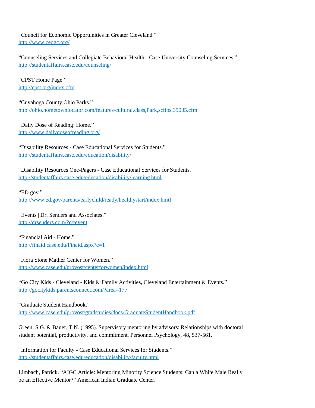"Council for Economic Opportunities in Greater Cleveland." <http://www.ceogc.org/>

"Counseling Services and Collegiate Behavioral Health - Case University Counseling Services." <http://studentaffairs.case.edu/counseling/>

"CPST Home Page." <http://cpst.org/index.cfm>

"Cuyahoga County Ohio Parks." <http://ohio.hometownlocator.com/features/cultural,class,Park,scfips,39035.cfm>

"Daily Dose of Reading: Home." <http://www.dailydoseofreading.org/>

"Disability Resources - Case Educational Services for Students." <http://studentaffairs.case.edu/education/disability/>

"Disability Resources One-Pagers - Case Educational Services for Students." <http://studentaffairs.case.edu/education/disability/learning.html>

"ED.gov."

<http://www.ed.gov/parents/earlychild/ready/healthystart/index.hmtl>

"Events | Dr. Senders and Associates." <http://drsenders.com/?q=event>

"Financial Aid - Home." <http://finaid.case.edu/Finaid.aspx?c=1>

"Flora Stone Mather Center for Women." <http://www.case.edu/provost/centerforwomen/index.html>

"Go City Kids - Cleveland - Kids & Family Activities, Cleveland Entertainment & Events." <http://gocitykids.parentsconnect.com/?area=177>

"Graduate Student Handbook." <http://www.case.edu/provost/gradstudies/docs/GraduateStudentHandbook.pdf>

Green, S.G. & Bauer, T.N. (1995). Supervisory mentoring by advisors: Relationships with doctoral student potential, productivity, and commitment. Personnel Psychology, 48, 537-561.

"Information for Faculty - Case Educational Services for Students." <http://studentaffairs.case.edu/education/disability/faculty.html>

Limbach, Patrick. "AIGC Article: Mentoring Minority Science Students: Can a White Male Really be an Effective Mentor?" American Indian Graduate Center.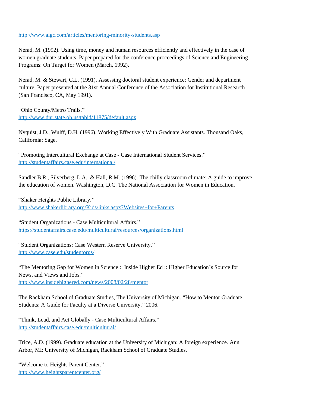#### <http://www.aigc.com/articles/mentoring-minority-students.asp>

Nerad, M. (1992). Using time, money and human resources efficiently and effectively in the case of women graduate students. Paper prepared for the conference proceedings of Science and Engineering Programs: On Target for Women (March, 1992).

Nerad, M. & Stewart, C.L. (1991). Assessing doctoral student experience: Gender and department culture. Paper presented at the 31st Annual Conference of the Association for Institutional Research (San Francisco, CA, May 1991).

"Ohio County/Metro Trails." <http://www.dnr.state.oh.us/tabid/11875/default.aspx>

Nyquist, J.D., Wulff, D.H. (1996). Working Effectively With Graduate Assistants. Thousand Oaks, California: Sage.

"Promoting Intercultural Exchange at Case - Case International Student Services." <http://studentaffairs.case.edu/international/>

Sandler B.R., Silverberg. L.A., & Hall, R.M. (1996). The chilly classroom climate: A guide to improve the education of women. Washington, D.C. The National Association for Women in Education.

"Shaker Heights Public Library." <http://www.shakerlibrary.org/Kids/links.aspx?Websites+for+Parents>

"Student Organizations - Case Multicultural Affairs." <https://studentaffairs.case.edu/multicultural/resources/organizations.html>

"Student Organizations: Case Western Reserve University." <http://www.case.edu/studentorgs/>

"The Mentoring Gap for Women in Science :: Inside Higher Ed :: Higher Education's Source for News, and Views and Jobs." <http://www.insidehighered.com/news/2008/02/28/mentor>

The Rackham School of Graduate Studies, The University of Michigan. "How to Mentor Graduate Students: A Guide for Faculty at a Diverse University." 2006.

"Think, Lead, and Act Globally - Case Multicultural Affairs." <http://studentaffairs.case.edu/multicultural/>

Trice, A.D. (1999). Graduate education at the University of Michigan: A foreign experience. Ann Arbor, MI: University of Michigan, Rackham School of Graduate Studies.

"Welcome to Heights Parent Center." <http://www.heightsparentcenter.org/>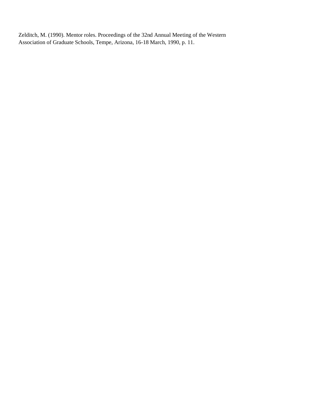Zelditch, M. (1990). Mentor roles. Proceedings of the 32nd Annual Meeting of the Western Association of Graduate Schools, Tempe, Arizona, 16-18 March, 1990, p. 11.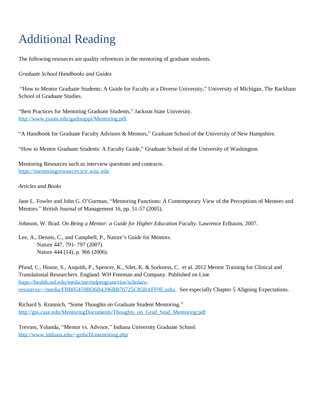# Additional Reading

The following resources are quality references in the mentoring of graduate students.

### *Graduate School Handbooks and Guides*

"How to Mentor Graduate Students: A Guide for Faculty at a Diverse University," University of Michigan, The Rackham School of Graduate Studies.

"Best Practices for Mentoring Graduate Students," Jackson State University. <http://www.jsums.edu/gadmappl/Mentoring.pdf>

"A Handbook for Graduate Faculty Advisors & Mentors," Graduate School of the University of New Hampshire.

"How to Mentor Graduate Students: A Faculty Guide," Graduate School of the University of Washington.

Mentoring Resources such as interview questions and contracts. [https://mentoringresources.ictr.wisc.edu](https://mentoringresources.ictr.wisc.edu/)

#### *Articles and Books*

Jane L. Fowler and John G. O'Gorman, "Mentoring Functions: A Contemporary View of the Perceptions of Mentees and Mentors." British Journal of Management 16, pp. 51-57 (2005).

Johnson, W. Brad. *On Being a Mentor: a Guide for Higher Education Faculty*. Lawrence Erlbaum, 2007.

Lee, A., Dennis, C., and Campbell, P., Nature's Guide for Mentors. Nature 447, 791- 797 (2007). Nature 444 (14), p. 966 (2006).

Pfund, C., House, S., Asquith, P., Spencer, K., Silet, K. & Sorkness, C. et al. 2012 Mentor Training for Clinical and Translational Researchers. England: WH Freeman and Company. Published on Line [https://health.usf.edu/medicine/mdprogram/rise/scholars](https://health.usf.edu/medicine/mdprogram/rise/scholars-resources/~/media/FBB05459BD6B4396BB76725C85BAFF9E.ashx)[resources/~/media/FBB05459BD6B4396BB76725C85BAFF9E.ashx.](https://health.usf.edu/medicine/mdprogram/rise/scholars-resources/~/media/FBB05459BD6B4396BB76725C85BAFF9E.ashx) See especially Chapter 5 Aligning Expectations.

Richard S. Krannich, "Some Thoughts on Graduate Student Mentoring." [http://gss.case.edu/MentoringDocuments/Thoughts\\_on\\_Grad\\_Stud\\_Mentoring.pdf](http://gss.case.edu/MentoringDocuments/Thoughts_on_Grad_Stud_Mentoring.pdf)

Trevino, Yolanda, "Mentor vs. Advisor," Indiana University Graduate School. <http://www.indiana.edu/~grdschl/mentoring.php>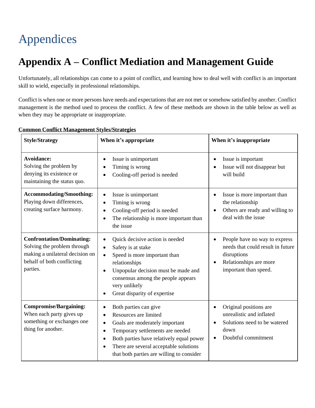# Appendices

## **Appendix A – Conflict Mediation and Management Guide**

Unfortunately, all relationships can come to a point of conflict, and learning how to deal well with conflict is an important skill to wield, especially in professional relationships.

Conflict is when one or more persons have needs and expectations that are not met or somehow satisfied by another. Conflict management is the method used to process the conflict. A few of these methods are shown in the table below as well as when they may be appropriate or inappropriate.

| <b>Style/Strategy</b>                                                                                                                        | When it's appropriate                                                                                                                                                                                                                                                                                                                 | When it's inappropriate                                                                                                                                |  |
|----------------------------------------------------------------------------------------------------------------------------------------------|---------------------------------------------------------------------------------------------------------------------------------------------------------------------------------------------------------------------------------------------------------------------------------------------------------------------------------------|--------------------------------------------------------------------------------------------------------------------------------------------------------|--|
| <b>Avoidance:</b><br>Solving the problem by<br>denying its existence or<br>maintaining the status quo.                                       | Issue is unimportant<br>٠<br>Timing is wrong<br>$\bullet$<br>Cooling-off period is needed                                                                                                                                                                                                                                             | Issue is important<br>$\bullet$<br>Issue will not disappear but<br>$\bullet$<br>will build                                                             |  |
| <b>Accommodating/Smoothing:</b><br>Playing down differences,<br>creating surface harmony.                                                    | Issue is unimportant<br>$\bullet$<br>Timing is wrong<br>$\bullet$<br>Cooling-off period is needed<br>$\bullet$<br>The relationship is more important than<br>$\bullet$<br>the issue                                                                                                                                                   | Issue is more important than<br>$\bullet$<br>the relationship<br>Others are ready and willing to<br>$\bullet$<br>deal with the issue                   |  |
| <b>Confrontation/Dominating:</b><br>Solving the problem through<br>making a unilateral decision on<br>behalf of both conflicting<br>parties. | Quick decisive action is needed<br>$\bullet$<br>Safety is at stake<br>$\bullet$<br>Speed is more important than<br>$\bullet$<br>relationships<br>Unpopular decision must be made and<br>$\bullet$<br>consensus among the people appears<br>very unlikely<br>Great disparity of expertise<br>$\bullet$                                 | People have no way to express<br>$\bullet$<br>needs that could result in future<br>disruptions<br>Relationships are more<br>٠<br>important than speed. |  |
| <b>Compromise/Bargaining:</b><br>When each party gives up<br>something or exchanges one<br>thing for another.                                | Both parties can give<br>$\bullet$<br>Resources are limited<br>$\bullet$<br>Goals are moderately important<br>$\bullet$<br>Temporary settlements are needed<br>$\bullet$<br>Both parties have relatively equal power<br>$\bullet$<br>There are several acceptable solutions<br>$\bullet$<br>that both parties are willing to consider | Original positions are<br>$\bullet$<br>unrealistic and inflated<br>Solutions need to be watered<br>down<br>Doubtful commitment                         |  |

### **Common Conflict Management Styles/Strategies**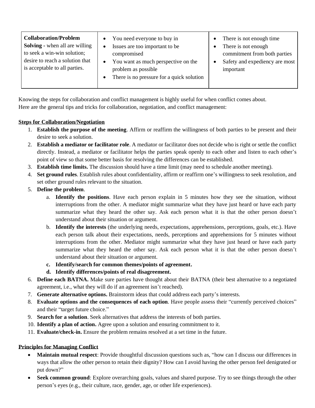| <b>Collaboration/Problem</b><br><b>Solving - when all are willing</b><br>to seek a win-win solution;<br>desire to reach a solution that<br>is acceptable to all parties. | You need everyone to buy in<br>Issues are too important to be<br>$\bullet$<br>compromised<br>You want as much perspective on the<br>٠<br>problem as possible<br>There is no pressure for a quick solution<br>$\bullet$ | There is not enough time<br>$\bullet$<br>There is not enough<br>commitment from both parties<br>Safety and expediency are most<br>important |
|--------------------------------------------------------------------------------------------------------------------------------------------------------------------------|------------------------------------------------------------------------------------------------------------------------------------------------------------------------------------------------------------------------|---------------------------------------------------------------------------------------------------------------------------------------------|
|--------------------------------------------------------------------------------------------------------------------------------------------------------------------------|------------------------------------------------------------------------------------------------------------------------------------------------------------------------------------------------------------------------|---------------------------------------------------------------------------------------------------------------------------------------------|

Knowing the steps for collaboration and conflict management is highly useful for when conflict comes about. Here are the general tips and tricks for collaboration, negotiation, and conflict management:

### **Steps for Collaboration/Negotiation**

- 1. **Establish the purpose of the meeting**. Affirm or reaffirm the willingness of both parties to be present and their desire to seek a solution.
- 2. **Establish a mediator or facilitator role**. A mediator or facilitator does not decide who is right or settle the conflict directly. Instead, a mediator or facilitator helps the parties speak openly to each other and listen to each other's point of view so that some better basis for resolving the differences can be established.
- 3. **Establish time limits.** The discussion should have a time limit (may need to schedule another meeting).
- 4. **Set ground rules**. Establish rules about confidentiality, affirm or reaffirm one's willingness to seek resolution, and set other ground rules relevant to the situation.
- 5. **Define the problem**.
	- a. **Identify the positions**. Have each person explain in 5 minutes how they see the situation, without interruptions from the other. A mediator might summarize what they have just heard or have each party summarize what they heard the other say. Ask each person what it is that the other person doesn't understand about their situation or argument.
	- b. **Identify the interests** (the underlying needs, expectations, apprehensions, perceptions, goals, etc.). Have each person talk about their expectations, needs, perceptions and apprehensions for 5 minutes without interruptions from the other. Mediator might summarize what they have just heard or have each party summarize what they heard the other say. Ask each person what it is that the other person doesn't understand about their situation or argument.
	- **c. Identify/search for common themes/points of agreement.**
	- **d. Identify differences/points of real disagreement.**
- 6. **Define each BATNA.** Make sure parties have thought about their BATNA (their best alternative to a negotiated agreement, i.e., what they will do if an agreement isn't reached).
- 7. **Generate alternative options.** Brainstorm ideas that could address each party's interests.
- 8. **Evaluate options and the consequences of each option**. Have people assess their "currently perceived choices" and their "target future choice."
- 9. **Search for a solution**. Seek alternatives that address the interests of both parties.
- 10. **Identify a plan of action.** Agree upon a solution and ensuring commitment to it.
- 11. **Evaluate/check-in.** Ensure the problem remains resolved at a set time in the future.

### **Principles for Managing Conflict**

- **Maintain mutual respect**: Provide thoughtful discussion questions such as, "how can I discuss our differences in ways that allow the other person to retain their dignity? How can I avoid having the other person feel denigrated or put down?"
- **Seek common ground**: Explore overarching goals, values and shared purpose. Try to see things through the other person's eyes (e.g., their culture, race, gender, age, or other life experiences).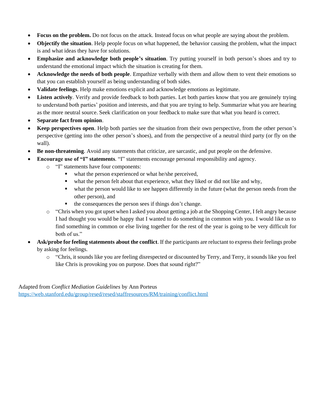- **Focus on the problem.** Do not focus on the attack. Instead focus on what people are saying about the problem.
- **Objectify the situation**. Help people focus on what happened, the behavior causing the problem, what the impact is and what ideas they have for solutions.
- **Emphasize and acknowledge both people's situation**. Try putting yourself in both person's shoes and try to understand the emotional impact which the situation is creating for them.
- **Acknowledge the needs of both people**. Empathize verbally with them and allow them to vent their emotions so that you can establish yourself as being understanding of both sides.
- **Validate feelings**. Help make emotions explicit and acknowledge emotions as legitimate.
- Listen actively. Verify and provide feedback to both parties. Let both parties know that you are genuinely trying to understand both parties' position and interests, and that you are trying to help. Summarize what you are hearing as the more neutral source. Seek clarification on your feedback to make sure that what you heard is correct.
- **Separate fact from opinion**.
- **Keep perspectives open**. Help both parties see the situation from their own perspective, from the other person's perspective (getting into the other person's shoes), and from the perspective of a neutral third party (or fly on the wall).
- **Be non-threatening**. Avoid any statements that criticize, are sarcastic, and put people on the defensive.
- **Encourage use of "I" statements**. "I" statements encourage personal responsibility and agency.
	- o "I" statements have four components:
		- what the person experienced or what he/she perceived,
		- what the person felt about that experience, what they liked or did not like and why,
		- what the person would like to see happen differently in the future (what the person needs from the other person), and
		- the consequences the person sees if things don't change.
	- o "Chris when you got upset when I asked you about getting a job at the Shopping Center, I felt angry because I had thought you would be happy that I wanted to do something in common with you. I would like us to find something in common or else living together for the rest of the year is going to be very difficult for both of us."
- **Ask/probe for feeling statements about the conflict**. If the participants are reluctant to express their feelings probe by asking for feelings.
	- o "Chris, it sounds like you are feeling disrespected or discounted by Terry, and Terry, it sounds like you feel like Chris is provoking you on purpose. Does that sound right?"

Adapted from *Conflict Mediation Guidelines* by Ann Porteus <https://web.stanford.edu/group/resed/resed/staffresources/RM/training/conflict.html>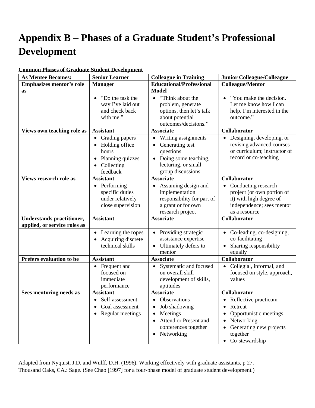### **Appendix B – Phases of a Graduate Student's Professional Development**

| <b>As Mentee Becomes:</b>                                        | <b>Senior Learner</b>                                                                                             | <b>Colleague in Training</b>                                                                                                                                   | <b>Junior Colleague/Colleague</b>                                                                                                       |
|------------------------------------------------------------------|-------------------------------------------------------------------------------------------------------------------|----------------------------------------------------------------------------------------------------------------------------------------------------------------|-----------------------------------------------------------------------------------------------------------------------------------------|
| <b>Emphasizes mentor's role</b>                                  | <b>Manager</b>                                                                                                    | <b>Educational/Professional</b>                                                                                                                                | <b>Colleague/Mentor</b>                                                                                                                 |
| as                                                               |                                                                                                                   | <b>Model</b>                                                                                                                                                   |                                                                                                                                         |
|                                                                  | "Do the task the<br>$\bullet$<br>way I've laid out<br>and check back<br>with me."                                 | "Think about the<br>$\bullet$<br>problem, generate<br>options, then let's talk<br>about potential<br>outcomes/decisions."                                      | "You make the decision."<br>$\bullet$<br>Let me know how I can<br>help. I'm interested in the<br>outcome."                              |
| Views own teaching role as                                       | <b>Assistant</b>                                                                                                  | <b>Associate</b>                                                                                                                                               | Collaborator                                                                                                                            |
|                                                                  | Grading papers<br>$\bullet$<br>Holding office<br>$\bullet$<br>hours<br>Planning quizzes<br>Collecting<br>feedback | Writing assignments<br>$\bullet$<br>Generating test<br>$\bullet$<br>questions<br>Doing some teaching,<br>$\bullet$<br>lecturing, or small<br>group discussions | • Designing, developing, or<br>revising advanced courses<br>or curriculum; instructor of<br>record or co-teaching                       |
| Views research role as                                           | <b>Assistant</b>                                                                                                  | <b>Associate</b>                                                                                                                                               | Collaborator                                                                                                                            |
|                                                                  | Performing<br>$\bullet$<br>specific duties<br>under relatively<br>close supervision                               | Assuming design and<br>$\bullet$<br>implementation<br>responsibility for part of<br>a grant or for own<br>research project                                     | Conducting research<br>$\bullet$<br>project (or own portion of<br>it) with high degree of<br>independence; sees mentor<br>as a resource |
| <b>Understands practitioner,</b><br>applied, or service roles as | <b>Assistant</b>                                                                                                  | <b>Associate</b>                                                                                                                                               | Collaborator                                                                                                                            |
|                                                                  | Learning the ropes<br>Acquiring discrete<br>technical skills                                                      | Providing strategic<br>assistance expertise<br>Ultimately defers to<br>$\bullet$<br>mentor                                                                     | • Co-leading, co-designing,<br>co-facilitating<br>Sharing responsibility<br>equally                                                     |
| <b>Prefers evaluation to be</b>                                  | <b>Assistant</b>                                                                                                  | <b>Associate</b>                                                                                                                                               | Collaborator                                                                                                                            |
|                                                                  | Frequent and<br>$\bullet$<br>focused on<br>immediate<br>performance                                               | Systematic and focused<br>$\bullet$<br>on overall skill<br>development of skills,<br>aptitudes                                                                 | Collegial, informal, and<br>focused on style, approach,<br>values                                                                       |
| Sees mentoring needs as                                          | <b>Assistant</b>                                                                                                  | <b>Associate</b>                                                                                                                                               | Collaborator                                                                                                                            |
|                                                                  | • Self-assessment<br>Goal assessment<br>Regular meetings                                                          | • Observations<br>Job shadowing<br>Meetings<br>Attend or Present and<br>conferences together<br>Networking<br>$\bullet$                                        | • Reflective practicum<br>Retreat<br>Opportunistic meetings<br>Networking<br>Generating new projects<br>together<br>Co-stewardship<br>٠ |

### **Common Phases of Graduate Student Development**

Adapted from Nyquist, J.D. and Wulff, D.H. (1996). Working effectively with graduate assistants, p 27. Thousand Oaks, CA.: Sage. (See Chao [1997] for a four-phase model of graduate student development.)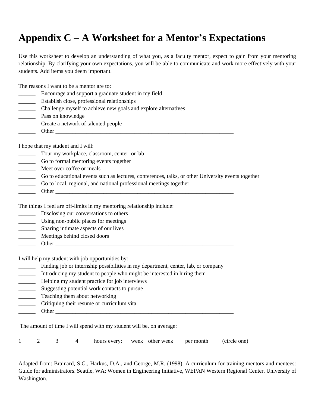### **Appendix C – A Worksheet for a Mentor's Expectations**

Use this worksheet to develop an understanding of what you, as a faculty mentor, expect to gain from your mentoring relationship. By clarifying your own expectations, you will be able to communicate and work more effectively with your students. Add items you deem important.

The reasons I want to be a mentor are to:

- \_\_\_\_\_\_ Encourage and support a graduate student in my field
- \_\_\_\_\_\_ Establish close, professional relationships
- \_\_\_\_\_\_ Challenge myself to achieve new goals and explore alternatives
- **Example 1** Pass on knowledge
- \_\_\_\_\_\_ Create a network of talented people
- \_\_\_\_\_\_ Other \_\_\_\_\_\_\_\_\_\_\_\_\_\_\_\_\_\_\_\_\_\_\_\_\_\_\_\_\_\_\_\_\_\_\_\_\_\_\_\_\_\_\_\_\_\_\_\_\_\_\_\_\_\_\_\_\_\_\_\_\_\_\_

I hope that my student and I will:

- Tour my workplace, classroom, center, or lab
- \_\_\_\_\_\_ Go to formal mentoring events together
- \_\_\_\_\_\_ Meet over coffee or meals
- \_\_\_\_\_\_ Go to educational events such as lectures, conferences, talks, or other University events together
- \_\_\_\_\_\_ Go to local, regional, and national professional meetings together
- $\Box$  Other  $\Box$

The things I feel are off-limits in my mentoring relationship include:

- Disclosing our conversations to others
- \_\_\_\_\_\_ Using non-public places for meetings
- \_\_\_\_\_\_ Sharing intimate aspects of our lives
- \_\_\_\_\_\_ Meetings behind closed doors
- Other  $\Box$

I will help my student with job opportunities by:

- \_\_\_\_\_\_ Finding job or internship possibilities in my department, center, lab, or company
- \_\_\_\_\_\_ Introducing my student to people who might be interested in hiring them
- Helping my student practice for job interviews
- \_\_\_\_\_\_ Suggesting potential work contacts to pursue
- Teaching them about networking
- Critiquing their resume or curriculum vita
- $\Box$  Other  $\Box$

The amount of time I will spend with my student will be, on average:

1 2 3 4 hours every: week other week per month (circle one)

Adapted from: Brainard, S.G., Harkus, D.A., and George, M.R. (1998), A curriculum for training mentors and mentees: Guide for administrators. Seattle, WA: Women in Engineering Initiative, WEPAN Western Regional Center, University of Washington.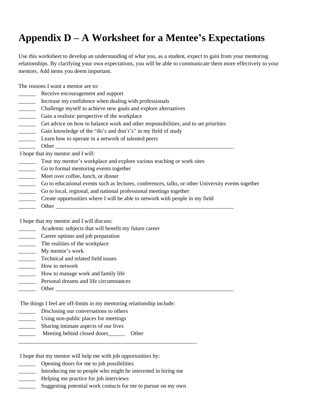### **Appendix D – A Worksheet for a Mentee's Expectations**

Use this worksheet to develop an understanding of what you, as a student, expect to gain from your mentoring relationships. By clarifying your own expectations, you will be able to communicate them more effectively to your mentors. Add items you deem important.

The reasons I want a mentor are to:

- Receive encouragement and support
- Increase my confidence when dealing with professionals
- \_\_\_\_\_\_ Challenge myself to achieve new goals and explore alternatives
- \_\_\_\_\_\_ Gain a realistic perspective of the workplace
- \_\_\_\_\_\_ Get advice on how to balance work and other responsibilities, and to set priorities
- \_\_\_\_\_\_ Gain knowledge of the "do's and don't's" in my field of study
- \_\_\_\_\_\_ Learn how to operate in a network of talented peers
- Other  $\Box$

I hope that my mentor and I will:

- \_\_\_\_\_\_ Tour my mentor's workplace and explore various teaching or work sites
- \_\_\_\_\_\_ Go to formal mentoring events together
- \_\_\_\_\_\_ Meet over coffee, lunch, or dinner
- \_\_\_\_\_\_ Go to educational events such as lectures, conferences, talks, or other University events together
- \_\_\_\_\_\_ Go to local, regional, and national professional meetings together
- Create opportunities where I will be able to network with people in my field
- Other  $\Box$

I hope that my mentor and I will discuss:

- \_\_\_\_\_\_ Academic subjects that will benefit my future career
- **EXECUTE:** Career options and job preparation
- \_\_\_\_\_\_ The realities of the workplace
- \_\_\_\_\_\_\_\_\_ My mentor's work
- \_\_\_\_\_\_ Technical and related field issues
- \_\_\_\_\_\_ How to network
- \_\_\_\_\_\_ How to manage work and family life
- Personal dreams and life circumstances
- Other  $\Box$

The things I feel are off-limits in my mentoring relationship include:

- Disclosing our conversations to others
- \_\_\_\_\_\_ Using non-public places for meetings
- Sharing intimate aspects of our lives
- \_\_\_\_\_\_ Meeting behind closed doors\_\_\_\_\_\_ Other

I hope that my mentor will help me with job opportunities by:

- \_\_\_\_\_\_ Opening doors for me to job possibilities
- \_\_\_\_\_\_ Introducing me to people who might be interested in hiring me

\_\_\_\_\_\_\_\_\_\_\_\_\_\_\_\_\_\_\_\_\_\_\_\_\_\_\_\_\_\_\_\_\_\_\_\_\_\_\_\_\_\_\_\_\_\_\_\_\_\_\_\_\_\_\_\_\_\_\_\_\_\_\_

- \_\_\_\_\_\_ Helping me practice for job interviews
- Suggesting potential work contacts for me to pursue on my own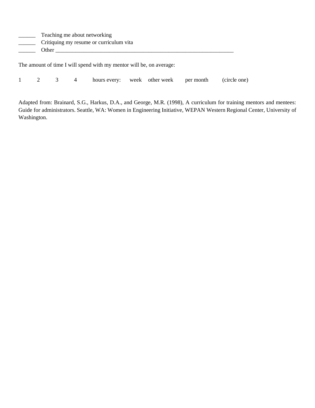| Teaching me about networking            |
|-----------------------------------------|
| Critiquing my resume or curriculum vita |
| Other                                   |
|                                         |

The amount of time I will spend with my mentor will be, on average:

1 2 3 4 hours every: week other week per month (circle one)

Adapted from: Brainard, S.G., Harkus, D.A., and George, M.R. (1998), A curriculum for training mentors and mentees: Guide for administrators. Seattle, WA: Women in Engineering Initiative, WEPAN Western Regional Center, University of Washington.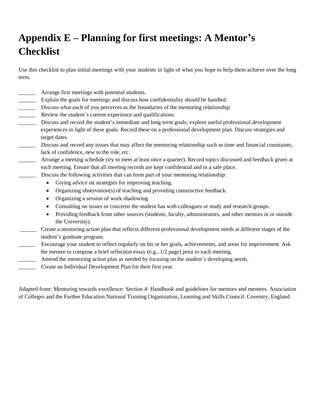### **Appendix E – Planning for first meetings: A Mentor's Checklist**

Use this checklist to plan initial meetings with your students in light of what you hope to help them achieve over the long term.

- \_\_\_\_\_\_ Arrange first meetings with potential students.
- \_\_\_\_\_\_ Explain the goals for meetings and discuss how confidentiality should be handled.
- \_\_\_\_\_\_ Discuss what each of you perceives as the boundaries of the mentoring relationship.
- **EXECUTE:** Review the student's current experience and qualifications.
- Discuss and record the student's immediate and long-term goals; explore useful professional development experiences in light of these goals. Record these on a professional development plan. Discuss strategies and target dates.
- Discuss and record any issues that may affect the mentoring relationship such as time and financial constraints, lack of confidence, new to the role, etc.
- \_\_\_\_\_\_ Arrange a meeting schedule (try to meet at least once a quarter). Record topics discussed and feedback given at each meeting. Ensure that all meeting records are kept confidential and in a safe place.
- Discuss the following activities that can form part of your mentoring relationship:
	- Giving advice on strategies for improving teaching.
	- Organizing observation(s) of teaching and providing constructive feedback.
	- Organizing a session of work shadowing.
	- Consulting on issues or concerns the student has with colleagues or study and research groups.
	- Providing feedback from other sources (students, faculty, administrators, and other mentors in or outside the University).
- \_\_\_\_\_\_ Create a mentoring action plan that reflects different professional development needs at different stages of the student's graduate program.
- \_\_\_\_\_\_ Encourage your student to reflect regularly on his or her goals, achievements, and areas for improvement. Ask the mentee to compose a brief reflection essay (e.g., 1/2 page) prior to each meeting.
	- \_\_\_\_\_\_ Amend the mentoring action plan as needed by focusing on the student's developing needs.
		- Create an Individual Development Plan for their first year.

Adapted from: Mentoring towards excellence: Section 4: Handbook and guidelines for mentors and mentees. Association of Colleges and the Further Education National Training Organization, Learning and Skills Council: Coventry, England.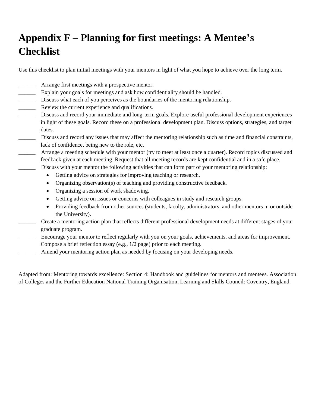### **Appendix F – Planning for first meetings: A Mentee's Checklist**

Use this checklist to plan initial meetings with your mentors in light of what you hope to achieve over the long term.

- Arrange first meetings with a prospective mentor.
- Explain your goals for meetings and ask how confidentiality should be handled.
- \_\_\_\_\_\_ Discuss what each of you perceives as the boundaries of the mentoring relationship.
- Review the current experience and qualifications.
- Discuss and record your immediate and long-term goals. Explore useful professional development experiences in light of these goals. Record these on a professional development plan. Discuss options, strategies, and target dates.
- \_\_\_\_\_\_ Discuss and record any issues that may affect the mentoring relationship such as time and financial constraints, lack of confidence, being new to the role, etc.
- Arrange a meeting schedule with your mentor (try to meet at least once a quarter). Record topics discussed and feedback given at each meeting. Request that all meeting records are kept confidential and in a safe place. Discuss with your mentor the following activities that can form part of your mentoring relationship:
	- Getting advice on strategies for improving teaching or research.
	- Organizing observation(s) of teaching and providing constructive feedback.
	- Organizing a session of work shadowing.
	- Getting advice on issues or concerns with colleagues in study and research groups.
	- Providing feedback from other sources (students, faculty, administrators, and other mentors in or outside the University).
- \_\_\_\_\_\_ Create a mentoring action plan that reflects different professional development needs at different stages of your graduate program.
- \_\_\_\_\_\_ Encourage your mentor to reflect regularly with you on your goals, achievements, and areas for improvement. Compose a brief reflection essay (e.g., 1/2 page) prior to each meeting.
- Amend your mentoring action plan as needed by focusing on your developing needs.

Adapted from: Mentoring towards excellence: Section 4: Handbook and guidelines for mentors and mentees. Association of Colleges and the Further Education National Training Organisation, Learning and Skills Council: Coventry, England.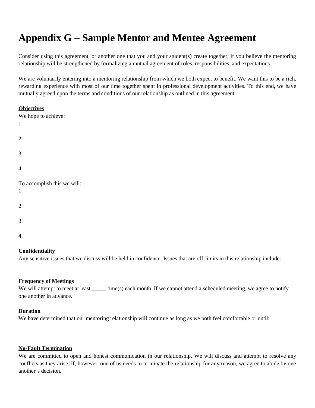### **Appendix G – Sample Mentor and Mentee Agreement**

Consider using this agreement, or another one that you and your student(s) create together, if you believe the mentoring relationship will be strengthened by formalizing a mutual agreement of roles, responsibilities, and expectations.

We are voluntarily entering into a mentoring relationship from which we both expect to benefit. We want this to be a rich, rewarding experience with most of our time together spent in professional development activities. To this end, we have mutually agreed upon the terms and conditions of our relationship as outlined in this agreement.

### **Objectives**

| We hope to achieve:<br>1.         |
|-----------------------------------|
| 2.                                |
| 3.                                |
| 4.                                |
| To accomplish this we will:<br>1. |
|                                   |
| 2.                                |
| 3.                                |

#### 4.

### **Confidentiality**

Any sensitive issues that we discuss will be held in confidence. Issues that are off-limits in this relationship include:

### **Frequency of Meetings**

We will attempt to meet at least \_\_\_\_\_ time(s) each month. If we cannot attend a scheduled meeting, we agree to notify one another in advance.

#### **Duration**

We have determined that our mentoring relationship will continue as long as we both feel comfortable or until:

### **No-Fault Termination**

We are committed to open and honest communication in our relationship. We will discuss and attempt to resolve any conflicts as they arise. If, however, one of us needs to terminate the relationship for any reason, we agree to abide by one another's decision.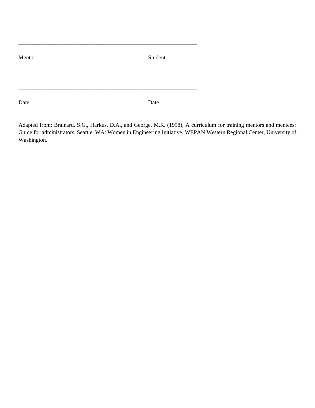Mentor Student

\_\_\_\_\_\_\_\_\_\_\_\_\_\_\_\_\_\_\_\_\_\_\_\_\_\_\_\_\_\_\_\_\_\_\_\_\_\_\_\_\_\_\_\_\_\_\_\_\_\_\_\_\_\_\_\_\_\_\_\_\_\_\_

\_\_\_\_\_\_\_\_\_\_\_\_\_\_\_\_\_\_\_\_\_\_\_\_\_\_\_\_\_\_\_\_\_\_\_\_\_\_\_\_\_\_\_\_\_\_\_\_\_\_\_\_\_\_\_\_\_\_\_\_\_\_\_

Date Date Date

Adapted from: Brainard, S.G., Harkus, D.A., and George, M.R. (1998), A curriculum for training mentors and mentees: Guide for administrators. Seattle, WA: Women in Engineering Initiative, WEPAN Western Regional Center, University of Washington.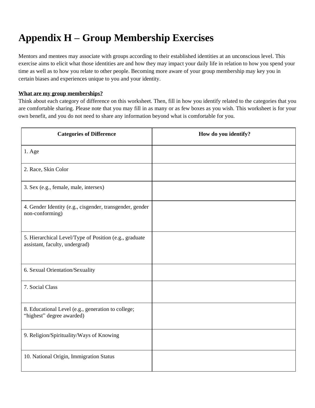### **Appendix H – Group Membership Exercises**

Mentors and mentees may associate with groups according to their established identities at an unconscious level. This exercise aims to elicit what those identities are and how they may impact your daily life in relation to how you spend your time as well as to how you relate to other people. Becoming more aware of your group membership may key you in certain biases and experiences unique to you and your identity.

### **What are my group memberships?**

Think about each category of difference on this worksheet. Then, fill in how you identify related to the categories that you are comfortable sharing. Please note that you may fill in as many or as few boxes as you wish. This worksheet is for your own benefit, and you do not need to share any information beyond what is comfortable for you.

| <b>Categories of Difference</b>                                                          | How do you identify? |
|------------------------------------------------------------------------------------------|----------------------|
| $1.$ Age                                                                                 |                      |
| 2. Race, Skin Color                                                                      |                      |
| 3. Sex (e.g., female, male, intersex)                                                    |                      |
| 4. Gender Identity (e.g., cisgender, transgender, gender<br>non-conforming)              |                      |
| 5. Hierarchical Level/Type of Position (e.g., graduate<br>assistant, faculty, undergrad) |                      |
| 6. Sexual Orientation/Sexuality                                                          |                      |
| 7. Social Class                                                                          |                      |
| 8. Educational Level (e.g., generation to college;<br>"highest" degree awarded)          |                      |
| 9. Religion/Spirituality/Ways of Knowing                                                 |                      |
| 10. National Origin, Immigration Status                                                  |                      |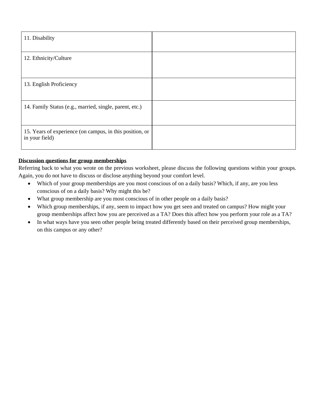| 11. Disability                                                             |  |
|----------------------------------------------------------------------------|--|
| 12. Ethnicity/Culture                                                      |  |
| 13. English Proficiency                                                    |  |
| 14. Family Status (e.g., married, single, parent, etc.)                    |  |
| 15. Years of experience (on campus, in this position, or<br>in your field) |  |

### **Discussion questions for group memberships**

Referring back to what you wrote on the previous worksheet, please discuss the following questions within your groups. Again, you do not have to discuss or disclose anything beyond your comfort level.

- Which of your group memberships are you most conscious of on a daily basis? Which, if any, are you less conscious of on a daily basis? Why might this be?
- What group membership are you most conscious of in other people on a daily basis?
- Which group memberships, if any, seem to impact how you get seen and treated on campus? How might your group memberships affect how you are perceived as a TA? Does this affect how you perform your role as a TA?
- In what ways have you seen other people being treated differently based on their perceived group memberships, on this campus or any other?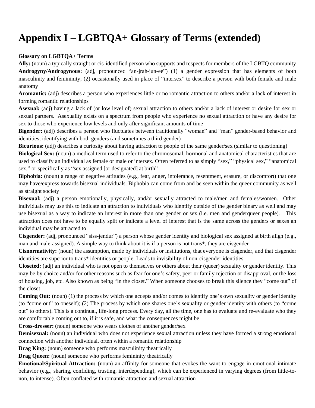### **Appendix I – LGBTQA+ Glossary of Terms (extended)**

### **Glossary on LGBTQA+ Terms**

**Ally:** (noun) a typically straight or cis-identified person who supports and respects for members of the LGBTQ community **Androgyny/Androgynous:** (adj, pronounced "an-jrah-jun-ee") (1) a gender expression that has elements of both masculinity and femininity; (2) occasionally used in place of "intersex" to describe a person with both female and male anatomy

**Aromantic:** (adj) describes a person who experiences little or no romantic attraction to others and/or a lack of interest in forming romantic relationships

**Asexual:** (adj) having a lack of (or low level of) sexual attraction to others and/or a lack of interest or desire for sex or sexual partners. Asexuality exists on a spectrum from people who experience no sexual attraction or have any desire for sex to those who experience low levels and only after significant amounts of time

**Bigender:** (adj) describes a person who fluctuates between traditionally "woman" and "man" gender-based behavior and identities, identifying with both genders (and sometimes a third gender)

**Bicurious:** (adj) describes a curiosity about having attraction to people of the same gender/sex (similar to questioning)

**Biological Sex:** (noun) a medical term used to refer to the chromosomal, hormonal and anatomical characteristics that are used to classify an individual as female or male or intersex. Often referred to as simply "sex," "physical sex," "anatomical sex," or specifically as "sex assigned [or designated] at birth"

**Biphobia:** (noun) a range of negative attitudes (e.g., fear, anger, intolerance, resentment, erasure, or discomfort) that one may have/express towards bisexual individuals. Biphobia can come from and be seen within the queer community as well as straight society

**Bisexual:** (adj) a person emotionally, physically, and/or sexually attracted to male/men and females/women. Other individuals may use this to indicate an attraction to individuals who identify outside of the gender binary as well and may use bisexual as a way to indicate an interest in more than one gender or sex (i.e. men and genderqueer people). This attraction does not have to be equally split or indicate a level of interest that is the same across the genders or sexes an individual may be attracted to

**Cisgender:** (adj, pronounced "siss-jendur") a person whose gender identity and biological sex assigned at birth align (e.g., man and male-assigned). A simple way to think about it is if a person is not trans\*, they are cisgender

**Cisnormativity:** (noun) the assumption, made by individuals or institutions, that everyone is cisgender, and that cisgender identities are superior to trans\* identities or people. Leads to invisibility of non-cisgender identities

**Closeted:** (adj) an individual who is not open to themselves or others about their (queer) sexuality or gender identity. This may be by choice and/or for other reasons such as fear for one's safety, peer or family rejection or disapproval, or the loss of housing, job, etc. Also known as being "in the closet." When someone chooses to break this silence they "come out" of the closet

**Coming Out:** (noun) (1) the process by which one accepts and/or comes to identify one's own sexuality or gender identity (to "come out" to oneself); (2) The process by which one shares one's sexuality or gender identity with others (to "come out" to others). This is a continual, life-long process. Every day, all the time, one has to evaluate and re-evaluate who they are comfortable coming out to, if it is safe, and what the consequences might be

**Cross-dresser:** (noun) someone who wears clothes of another gender/sex

**Demisexual:** (noun) an individual who does not experience sexual attraction unless they have formed a strong emotional connection with another individual, often within a romantic relationship

**Drag King:** (noun) someone who performs masculinity theatrically

**Drag Queen:** (noun) someone who performs femininity theatrically

**Emotional/Spiritual Attraction:** (noun) an affinity for someone that evokes the want to engage in emotional intimate behavior (e.g., sharing, confiding, trusting, interdepending), which can be experienced in varying degrees (from little-tonon, to intense). Often conflated with romantic attraction and sexual attraction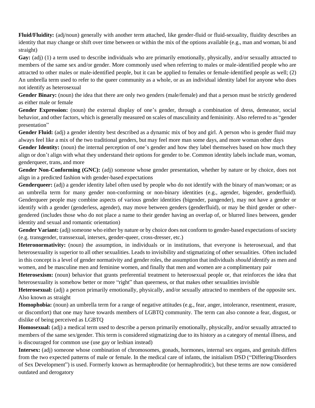**Fluid/Fluidity:** (adj/noun) generally with another term attached, like gender-fluid or fluid-sexuality, fluidity describes an identity that may change or shift over time between or within the mix of the options available (e.g., man and woman, bi and straight)

Gay: (adj) (1) a term used to describe individuals who are primarily emotionally, physically, and/or sexually attracted to members of the same sex and/or gender. More commonly used when referring to males or male-identified people who are attracted to other males or male-identified people, but it can be applied to females or female-identified people as well; (2) An umbrella term used to refer to the queer community as a whole, or as an individual identity label for anyone who does not identify as heterosexual

Gender Binary: (noun) the idea that there are only two genders (male/female) and that a person must be strictly gendered as either male or female

**Gender Expression:** (noun) the external display of one's gender, through a combination of dress, demeanor, social behavior, and other factors, which is generally measured on scales of masculinity and femininity. Also referred to as "gender presentation"

**Gender Fluid:** (adj) a gender identity best described as a dynamic mix of boy and girl. A person who is gender fluid may always feel like a mix of the two traditional genders, but may feel more man some days, and more woman other days

Gender Identity: (noun) the internal perception of one's gender and how they label themselves based on how much they align or don't align with what they understand their options for gender to be. Common identity labels include man, woman, genderqueer, trans, and more

**Gender Non-Conforming (GNC):** (adj) someone whose gender presentation, whether by nature or by choice, does not align in a predicted fashion with gender-based expectations

**Genderqueer:** (adj) a gender identity label often used by people who do not identify with the binary of man/woman; or as an umbrella term for many gender non-conforming or non-binary identities (e.g., agender, bigender, genderfluid). Genderqueer people may combine aspects of various gender identities (bigender, pangender), may not have a gender or identify with a gender (genderless, agender), may move between genders (genderfluid), or may be third gender or othergendered (includes those who do not place a name to their gender having an overlap of, or blurred lines between, gender identity and sexual and romantic orientation)

**Gender Variant:** (adj) someone who either by nature or by choice does not conform to gender-based expectations of society (e.g. transgender, transsexual, intersex, gender-queer, cross-dresser, etc.)

**Heteronormativity:** (noun) the assumption, in individuals or in institutions, that everyone is heterosexual, and that heterosexuality is superior to all other sexualities. Leads to invisibility and stigmatizing of other sexualities. Often included in this concept is a level of gender normativity and gender roles, the assumption that individuals *should* identify as men and women, and be masculine men and feminine women, and finally that men and women are a complimentary pair

**Heterosexism:** (noun) behavior that grants preferential treatment to heterosexual people or, that reinforces the idea that heterosexuality is somehow better or more "right" than queerness, or that makes other sexualities invisible

**Heterosexual:** (adj) a person primarily emotionally, physically, and/or sexually attracted to members of the opposite sex. Also known as straight

**Homophobia:** (noun) an umbrella term for a range of negative attitudes (e.g., fear, anger, intolerance, resentment, erasure, or discomfort) that one may have towards members of LGBTQ community. The term can also connote a fear, disgust, or dislike of being perceived as LGBTQ

**Homosexual:** (adj) a medical term used to describe a person primarily emotionally, physically, and/or sexually attracted to members of the same sex/gender. This term is considered stigmatizing due to its history as a category of mental illness, and is discouraged for common use (use gay or lesbian instead)

**Intersex:** (adj) someone whose combination of chromosomes, gonads, hormones, internal sex organs, and genitals differs from the two expected patterns of male or female. In the medical care of infants, the initialism DSD ("Differing/Disorders of Sex Development") is used. Formerly known as hermaphrodite (or hermaphroditic), but these terms are now considered outdated and derogatory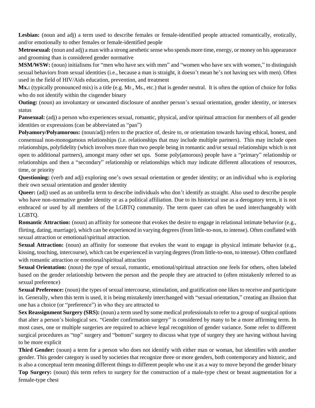Lesbian: (noun and adj) a term used to describe females or female-identified people attracted romantically, erotically, and/or emotionally to other females or female-identified people

**Metrosexual:** (noun and adj) a man with a strong aesthetic sense who spends more time, energy, or money on his appearance and grooming than is considered gender normative

**MSM/WSW:** (noun) initialisms for "men who have sex with men" and "women who have sex with women," to distinguish sexual behaviors from sexual identities (i.e., because a man is straight, it doesn't mean he's not having sex with men). Often used in the field of HIV/Aids education, prevention, and treatment

Mx.: (typically pronounced mix) is a title (e.g. Mr., Ms., etc.) that is gender neutral. It is often the option of choice for folks who do not identify within the cisgender binary

**Outing:** (noun) an involuntary or unwanted disclosure of another person's sexual orientation, gender identity, or intersex status

**Pansexual:** (adj) a person who experiences sexual, romantic, physical, and/or spiritual attraction for members of all gender identities or expressions (can be abbreviated as "pan")

**Polyamory/Polyamorous:** (noun/adj) refers to the practice of, desire to, or orientation towards having ethical, honest, and consensual non-monogamous relationships (i.e. relationships that may include multiple partners). This may include open relationships, polyfidelity (which involves more than two people being in romantic and/or sexual relationships which is not open to additional partners), amongst many other set ups. Some poly(amorous) people have a "primary" relationship or relationships and then a "secondary" relationship or relationships which may indicate different allocations of resources, time, or priority

**Questioning:** (verb and adj) exploring one's own sexual orientation or gender identity; or an individual who is exploring their own sexual orientation and gender identity

**Queer:** (adj) used as an umbrella term to describe individuals who don't identify as straight. Also used to describe people who have non-normative gender identity or as a political affiliation. Due to its historical use as a derogatory term, it is not embraced or used by all members of the LGBTQ community. The term queer can often be used interchangeably with LGBTQ.

**Romantic Attraction:** (noun) an affinity for someone that evokes the desire to engage in relational intimate behavior (e.g., flirting, dating, marriage), which can be experienced in varying degrees (from little-to-non, to intense). Often conflated with sexual attraction or emotional/spiritual attraction.

**Sexual Attraction:** (noun) an affinity for someone that evokes the want to engage in physical intimate behavior (e.g., kissing, touching, intercourse), which can be experienced in varying degrees (from little-to-non, to intense). Often conflated with romantic attraction or emotional/spiritual attraction

**Sexual Orientation:** (noun) the type of sexual, romantic, emotional/spiritual attraction one feels for others, often labeled based on the gender relationship between the person and the people they are attracted to (often mistakenly referred to as sexual preference)

**Sexual Preference:** (noun) the types of sexual intercourse, stimulation, and gratification one likes to receive and participate in. Generally, when this term is used, it is being mistakenly interchanged with "sexual orientation," creating an illusion that one has a choice (or "preference") in who they are attracted to

**Sex Reassignment Surgery (SRS):** (noun) a term used by some medical professionals to refer to a group of surgical options that alter a person's biological sex. "Gender confirmation surgery" is considered by many to be a more affirming term. In most cases, one or multiple surgeries are required to achieve legal recognition of gender variance. Some refer to different surgical procedures as "top" surgery and "bottom" surgery to discuss what type of surgery they are having without having to be more explicit

**Third Gender:** (noun) a term for a person who does not identify with either man or woman, but identifies with another gender. This gender category is used by societies that recognize three or more genders, both contemporary and historic, and is also a conceptual term meaning different things to different people who use it as a way to move beyond the gender binary **Top Surgery:** (noun) this term refers to surgery for the construction of a male-type chest or breast augmentation for a female-type chest